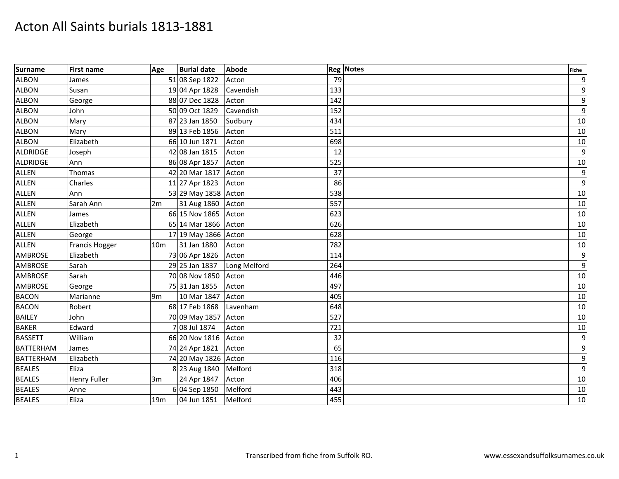| <b>Surname</b>  | <b>First name</b> | Age             | <b>Burial date</b>   | <b>Abode</b> |     | <b>Reg Notes</b> | <b>Fiche</b>    |
|-----------------|-------------------|-----------------|----------------------|--------------|-----|------------------|-----------------|
| <b>ALBON</b>    | James             |                 | 51 08 Sep 1822       | Acton        | 79  |                  | 9               |
| <b>ALBON</b>    | Susan             |                 | 19 04 Apr 1828       | Cavendish    | 133 |                  | 9               |
| <b>ALBON</b>    | George            |                 | 88 07 Dec 1828       | Acton        | 142 |                  | $\overline{9}$  |
| <b>ALBON</b>    | John              |                 | 50 09 Oct 1829       | Cavendish    | 152 |                  | 9               |
| <b>ALBON</b>    | Mary              |                 | 87 23 Jan 1850       | Sudbury      | 434 |                  | 10              |
| <b>ALBON</b>    | Mary              |                 | 89 13 Feb 1856       | Acton        | 511 |                  | 10              |
| <b>ALBON</b>    | Elizabeth         |                 | 66 10 Jun 1871       | Acton        | 698 |                  | 10              |
| <b>ALDRIDGE</b> | Joseph            |                 | 42 08 Jan 1815       | Acton        | 12  |                  | 9               |
| ALDRIDGE        | Ann               |                 | 86 08 Apr 1857       | Acton        | 525 |                  | 10              |
| <b>ALLEN</b>    | Thomas            |                 | 42 20 Mar 1817       | Acton        | 37  |                  | 9               |
| <b>ALLEN</b>    | Charles           |                 | 11 27 Apr 1823       | Acton        | 86  |                  | $\overline{9}$  |
| <b>ALLEN</b>    | Ann               |                 | 53 29 May 1858 Acton |              | 538 |                  | 10              |
| ALLEN           | Sarah Ann         | 2m              | 31 Aug 1860          | Acton        | 557 |                  | 10              |
| <b>ALLEN</b>    | James             |                 | 66 15 Nov 1865       | Acton        | 623 |                  | 10              |
| <b>ALLEN</b>    | Elizabeth         |                 | 65 14 Mar 1866 Acton |              | 626 |                  | 10              |
| <b>ALLEN</b>    | George            |                 | 17 19 May 1866 Acton |              | 628 |                  | 10              |
| <b>ALLEN</b>    | Francis Hogger    | 10 <sub>m</sub> | 31 Jan 1880          | Acton        | 782 |                  | 10              |
| <b>AMBROSE</b>  | Elizabeth         |                 | 73 06 Apr 1826       | Acton        | 114 |                  | $\overline{9}$  |
| <b>AMBROSE</b>  | Sarah             |                 | 29 25 Jan 1837       | Long Melford | 264 |                  | 9               |
| <b>AMBROSE</b>  | Sarah             |                 | 70 08 Nov 1850       | Acton        | 446 |                  | 10              |
| <b>AMBROSE</b>  | George            |                 | 75 31 Jan 1855       | Acton        | 497 |                  | 10              |
| <b>BACON</b>    | Marianne          | 9m              | 10 Mar 1847          | Acton        | 405 |                  | 10              |
| <b>BACON</b>    | Robert            |                 | 68 17 Feb 1868       | Lavenham     | 648 |                  | 10              |
| <b>BAILEY</b>   | John              |                 | 70 09 May 1857 Acton |              | 527 |                  | 10              |
| <b>BAKER</b>    | Edward            |                 | 7 08 Jul 1874        | Acton        | 721 |                  | 10 <sup>1</sup> |
| <b>BASSETT</b>  | William           |                 | 66 20 Nov 1816       | Acton        | 32  |                  | $\overline{9}$  |
| BATTERHAM       | James             |                 | 74 24 Apr 1821       | Acton        | 65  |                  | 9               |
| BATTERHAM       | Elizabeth         |                 | 74 20 May 1826 Acton |              | 116 |                  | 9               |
| <b>BEALES</b>   | Eliza             |                 | 8 23 Aug 1840        | Melford      | 318 |                  | $\overline{9}$  |
| <b>BEALES</b>   | Henry Fuller      | 3m              | 24 Apr 1847          | Acton        | 406 |                  | 10              |
| <b>BEALES</b>   | Anne              |                 | 6 04 Sep 1850        | Melford      | 443 |                  | 10              |
| <b>BEALES</b>   | Eliza             | 19 <sub>m</sub> | 04 Jun 1851          | Melford      | 455 |                  | 10              |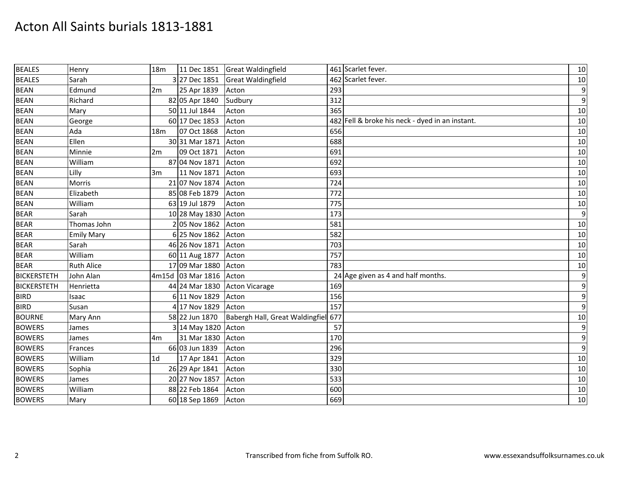| <b>BEALES</b>      | Henry             | 18m             | 11 Dec 1851             | <b>Great Waldingfield</b>       |     | 461 Scarlet fever.                              | 10               |
|--------------------|-------------------|-----------------|-------------------------|---------------------------------|-----|-------------------------------------------------|------------------|
| <b>BEALES</b>      | Sarah             |                 | 3 27 Dec 1851           | <b>Great Waldingfield</b>       |     | 462 Scarlet fever.                              | 10               |
| <b>BEAN</b>        | Edmund            | 2m              | 25 Apr 1839             | Acton                           | 293 |                                                 | $\boldsymbol{9}$ |
| <b>BEAN</b>        | Richard           |                 | 82 05 Apr 1840          | Sudbury                         | 312 |                                                 | 9                |
| <b>BEAN</b>        | Mary              |                 | 50 11 Jul 1844          | Acton                           | 365 |                                                 | 10               |
| <b>BEAN</b>        | George            |                 | 60 17 Dec 1853          | Acton                           |     | 482 Fell & broke his neck - dyed in an instant. | 10               |
| <b>BEAN</b>        | Ada               | 18 <sub>m</sub> | 07 Oct 1868             | Acton                           | 656 |                                                 | 10               |
| <b>BEAN</b>        | Ellen             |                 | 30 31 Mar 1871          | Acton                           | 688 |                                                 | 10               |
| <b>BEAN</b>        | Minnie            | 2m              | 09 Oct 1871             | Acton                           | 691 |                                                 | 10               |
| <b>BEAN</b>        | William           |                 | 87 04 Nov 1871          | Acton                           | 692 |                                                 | 10               |
| <b>BEAN</b>        | Lilly             | 3m              | 11 Nov 1871             | Acton                           | 693 |                                                 | 10               |
| <b>BEAN</b>        | Morris            |                 | 21 07 Nov 1874          | Acton                           | 724 |                                                 | 10               |
| <b>BEAN</b>        | Elizabeth         |                 | 85 08 Feb 1879          | Acton                           | 772 |                                                 | 10               |
| <b>BEAN</b>        | William           |                 | 63 19 Jul 1879          | Acton                           | 775 |                                                 | 10               |
| <b>BEAR</b>        | Sarah             |                 | 10 28 May 1830 Acton    |                                 | 173 |                                                 | $\overline{9}$   |
| <b>BEAR</b>        | Thomas John       |                 | 2 05 Nov 1862           | Acton                           | 581 |                                                 | 10               |
| <b>BEAR</b>        | <b>Emily Mary</b> |                 | 6 25 Nov 1862           | Acton                           | 582 |                                                 | 10               |
| <b>BEAR</b>        | Sarah             |                 | 46 26 Nov 1871          | Acton                           | 703 |                                                 | 10               |
| <b>BEAR</b>        | William           |                 | 60 11 Aug 1877          | Acton                           | 757 |                                                 | 10               |
| <b>BEAR</b>        | <b>Ruth Alice</b> |                 | 17 09 Mar 1880          | Acton                           | 783 |                                                 | 10               |
| <b>BICKERSTETH</b> | John Alan         |                 | 4m15d 03 Mar 1816 Acton |                                 |     | 24 Age given as 4 and half months.              | $\boldsymbol{9}$ |
| <b>BICKERSTETH</b> | Henrietta         |                 |                         | 44 24 Mar 1830 Acton Vicarage   | 169 |                                                 | $\boldsymbol{9}$ |
| <b>BIRD</b>        | Isaac             |                 | 6 11 Nov 1829           | Acton                           | 156 |                                                 | 9                |
| <b>BIRD</b>        | Susan             |                 | 4 17 Nov 1829           | Acton                           | 157 |                                                 | $\overline{9}$   |
| <b>BOURNE</b>      | Mary Ann          |                 | 58 22 Jun 1870          | Babergh Hall, Great Waldingfiel | 677 |                                                 | 10               |
| <b>BOWERS</b>      | James             |                 | 3 14 May 1820 Acton     |                                 | 57  |                                                 | $\overline{9}$   |
| <b>BOWERS</b>      | James             | 4 <sub>m</sub>  | 31 Mar 1830 Acton       |                                 | 170 |                                                 | 9                |
| <b>BOWERS</b>      | Frances           |                 | 66 03 Jun 1839          | Acton                           | 296 |                                                 | $\overline{9}$   |
| <b>BOWERS</b>      | William           | 1 <sub>d</sub>  | 17 Apr 1841             | Acton                           | 329 |                                                 | 10               |
| <b>BOWERS</b>      | Sophia            |                 | 26 29 Apr 1841          | Acton                           | 330 |                                                 | 10               |
| <b>BOWERS</b>      | James             |                 | 20 27 Nov 1857          | Acton                           | 533 |                                                 | 10               |
| <b>BOWERS</b>      | William           |                 | 88 22 Feb 1864          | Acton                           | 600 |                                                 | 10               |
| <b>BOWERS</b>      | Mary              |                 | 60 18 Sep 1869          | Acton                           | 669 |                                                 | 10               |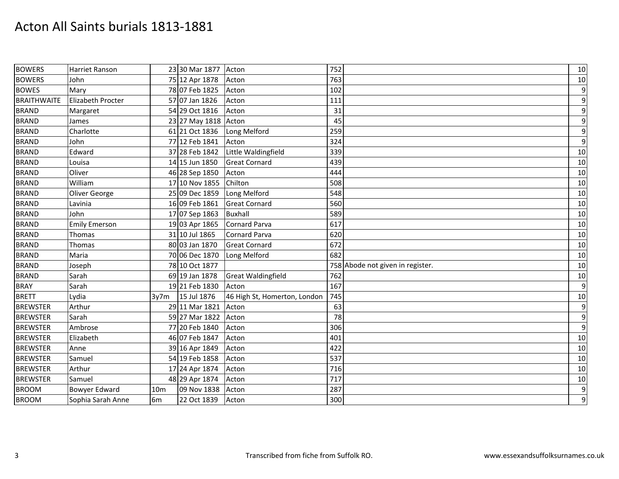| <b>BOWERS</b>      | <b>Harriet Ranson</b> |                | 23 30 Mar 1877 Acton |                              | 752                              | 10               |
|--------------------|-----------------------|----------------|----------------------|------------------------------|----------------------------------|------------------|
| <b>BOWERS</b>      | John                  |                | 75 12 Apr 1878       | Acton                        | 763                              | 10               |
| <b>BOWES</b>       | Mary                  |                | 78 07 Feb 1825       | Acton                        | 102                              | $\boldsymbol{9}$ |
| <b>BRAITHWAITE</b> | Elizabeth Procter     |                | 57 07 Jan 1826       | Acton                        | 111                              | $\boldsymbol{9}$ |
| <b>BRAND</b>       | Margaret              |                | 54 29 Oct 1816       | Acton                        | 31                               | $\boldsymbol{9}$ |
| <b>BRAND</b>       | James                 |                | 23 27 May 1818 Acton |                              | 45                               | $\boldsymbol{9}$ |
| <b>BRAND</b>       | Charlotte             |                | 61 21 Oct 1836       | Long Melford                 | 259                              | $\boldsymbol{9}$ |
| <b>BRAND</b>       | John                  |                | 77 12 Feb 1841       | Acton                        | 324                              | $\boldsymbol{9}$ |
| <b>BRAND</b>       | Edward                |                | 37 28 Feb 1842       | Little Waldingfield          | 339                              | 10               |
| <b>BRAND</b>       | Louisa                |                | 14 15 Jun 1850       | <b>Great Cornard</b>         | 439                              | 10               |
| <b>BRAND</b>       | Oliver                |                | 46 28 Sep 1850       | Acton                        | 444                              | 10               |
| <b>BRAND</b>       | William               |                | 17 10 Nov 1855       | Chilton                      | 508                              | 10               |
| <b>BRAND</b>       | Oliver George         |                | 25 09 Dec 1859       | Long Melford                 | 548                              | 10               |
| <b>BRAND</b>       | Lavinia               |                | 16 09 Feb 1861       | <b>Great Cornard</b>         | 560                              | 10               |
| <b>BRAND</b>       | John                  |                | 17 07 Sep 1863       | <b>Buxhall</b>               | 589                              | 10               |
| <b>BRAND</b>       | <b>Emily Emerson</b>  |                | 19 03 Apr 1865       | <b>Cornard Parva</b>         | 617                              | 10               |
| <b>BRAND</b>       | Thomas                |                | 31 10 Jul 1865       | Cornard Parva                | 620                              | 10               |
| <b>BRAND</b>       | Thomas                |                | 80 03 Jan 1870       | <b>Great Cornard</b>         | 672                              | 10               |
| <b>BRAND</b>       | Maria                 |                | 70 06 Dec 1870       | Long Melford                 | 682                              | 10               |
| <b>BRAND</b>       | Joseph                |                | 78 10 Oct 1877       |                              | 758 Abode not given in register. | 10               |
| <b>BRAND</b>       | Sarah                 |                | 69 19 Jan 1878       | <b>Great Waldingfield</b>    | 762                              | 10               |
| <b>BRAY</b>        | Sarah                 |                | 19 21 Feb 1830       | Acton                        | 167                              | $\boldsymbol{9}$ |
| <b>BRETT</b>       | Lydia                 | 3y7m           | 15 Jul 1876          | 46 High St, Homerton, London | 745                              | 10               |
| <b>BREWSTER</b>    | Arthur                |                | 29 11 Mar 1821       | Acton                        | 63                               | $\boldsymbol{9}$ |
| <b>BREWSTER</b>    | Sarah                 |                | 59 27 Mar 1822       | Acton                        | 78                               | $\boldsymbol{9}$ |
| <b>BREWSTER</b>    | Ambrose               |                | 77 20 Feb 1840       | Acton                        | 306                              | $\boldsymbol{9}$ |
| <b>BREWSTER</b>    | Elizabeth             |                | 46 07 Feb 1847       | Acton                        | 401                              | 10               |
| <b>BREWSTER</b>    | Anne                  |                | 39 16 Apr 1849       | Acton                        | 422                              | 10               |
| <b>BREWSTER</b>    | Samuel                |                | 54 19 Feb 1858       | Acton                        | 537                              | 10               |
| <b>BREWSTER</b>    | Arthur                |                | 17 24 Apr 1874       | Acton                        | 716                              | 10               |
| <b>BREWSTER</b>    | Samuel                |                | 48 29 Apr 1874       | Acton                        | 717                              | 10               |
| <b>BROOM</b>       | <b>Bowyer Edward</b>  | 10m            | 09 Nov 1838          | Acton                        | 287                              | $\boldsymbol{9}$ |
| <b>BROOM</b>       | Sophia Sarah Anne     | 6 <sub>m</sub> | 22 Oct 1839          | Acton                        | 300                              | $\overline{9}$   |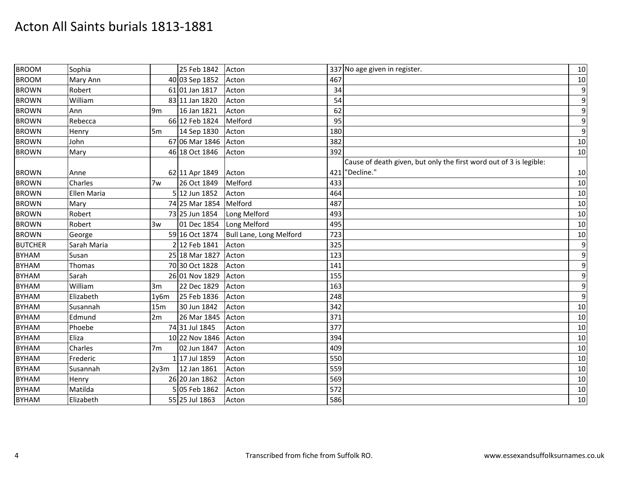| <b>BROOM</b>   | Sophia      |                | 25 Feb 1842          | Acton                   |     | 337 No age given in register.                                      | 10               |
|----------------|-------------|----------------|----------------------|-------------------------|-----|--------------------------------------------------------------------|------------------|
| <b>BROOM</b>   | Mary Ann    |                | 40 03 Sep 1852       | Acton                   | 467 |                                                                    | 10               |
| <b>BROWN</b>   | Robert      |                | 61 01 Jan 1817       | Acton                   | 34  |                                                                    | $\boldsymbol{9}$ |
| <b>BROWN</b>   | William     |                | 83 11 Jan 1820       | Acton                   | 54  |                                                                    | $\boldsymbol{9}$ |
| <b>BROWN</b>   | Ann         | 9 <sub>m</sub> | 16 Jan 1821          | Acton                   | 62  |                                                                    | $\boldsymbol{9}$ |
| <b>BROWN</b>   | Rebecca     |                | 66 12 Feb 1824       | Melford                 | 95  |                                                                    | $\boldsymbol{9}$ |
| <b>BROWN</b>   | Henry       | 5 <sub>m</sub> | 14 Sep 1830          | Acton                   | 180 |                                                                    | $\boldsymbol{9}$ |
| <b>BROWN</b>   | John        |                | 67 06 Mar 1846 Acton |                         | 382 |                                                                    | 10               |
| <b>BROWN</b>   | Mary        |                | 46 18 Oct 1846       | Acton                   | 392 |                                                                    | 10               |
|                |             |                |                      |                         |     | Cause of death given, but only the first word out of 3 is legible: |                  |
| <b>BROWN</b>   | Anne        |                | 62 11 Apr 1849       | Acton                   |     | 421 "Decline."                                                     | 10               |
| <b>BROWN</b>   | Charles     | 7w             | 26 Oct 1849          | Melford                 | 433 |                                                                    | 10               |
| <b>BROWN</b>   | Ellen Maria |                | 5 12 Jun 1852        | Acton                   | 464 |                                                                    | 10               |
| <b>BROWN</b>   | Mary        |                | 74 25 Mar 1854       | Melford                 | 487 |                                                                    | 10               |
| <b>BROWN</b>   | Robert      |                | 73 25 Jun 1854       | Long Melford            | 493 |                                                                    | 10               |
| <b>BROWN</b>   | Robert      | 3w             | 01 Dec 1854          | Long Melford            | 495 |                                                                    | 10               |
| <b>BROWN</b>   | George      |                | 59 16 Oct 1874       | Bull Lane, Long Melford | 723 |                                                                    | 10               |
| <b>BUTCHER</b> | Sarah Maria |                | 2 12 Feb 1841        | Acton                   | 325 |                                                                    | $\boldsymbol{9}$ |
| <b>BYHAM</b>   | Susan       |                | 25 18 Mar 1827       | Acton                   | 123 |                                                                    | $\boldsymbol{9}$ |
| <b>BYHAM</b>   | Thomas      |                | 70 30 Oct 1828       | Acton                   | 141 |                                                                    | $\boldsymbol{9}$ |
| <b>BYHAM</b>   | Sarah       |                | 26 01 Nov 1829       | Acton                   | 155 |                                                                    | $\boldsymbol{9}$ |
| <b>BYHAM</b>   | William     | 3m             | 22 Dec 1829          | Acton                   | 163 |                                                                    | $\boldsymbol{9}$ |
| <b>BYHAM</b>   | Elizabeth   | 1v6m           | 25 Feb 1836          | Acton                   | 248 |                                                                    | $\boldsymbol{9}$ |
| <b>BYHAM</b>   | Susannah    | 15m            | 30 Jun 1842          | Acton                   | 342 |                                                                    | 10               |
| <b>BYHAM</b>   | Edmund      | 2m             | 26 Mar 1845          | Acton                   | 371 |                                                                    | 10               |
| <b>BYHAM</b>   | Phoebe      |                | 74 31 Jul 1845       | Acton                   | 377 |                                                                    | 10               |
| <b>BYHAM</b>   | Eliza       |                | 10 22 Nov 1846       | Acton                   | 394 |                                                                    | 10               |
| <b>BYHAM</b>   | Charles     | 7 <sub>m</sub> | 02 Jun 1847          | Acton                   | 409 |                                                                    | 10               |
| <b>BYHAM</b>   | Frederic    |                | 1 17 Jul 1859        | Acton                   | 550 |                                                                    | 10               |
| <b>BYHAM</b>   | Susannah    | 2y3m           | 12 Jan 1861          | Acton                   | 559 |                                                                    | 10               |
| <b>BYHAM</b>   | Henry       |                | 26 20 Jan 1862       | Acton                   | 569 |                                                                    | 10               |
| <b>BYHAM</b>   | Matilda     |                | 05 Feb 1862          | Acton                   | 572 |                                                                    | 10               |
| <b>BYHAM</b>   | Elizabeth   |                | 55 25 Jul 1863       | Acton                   | 586 |                                                                    | 10               |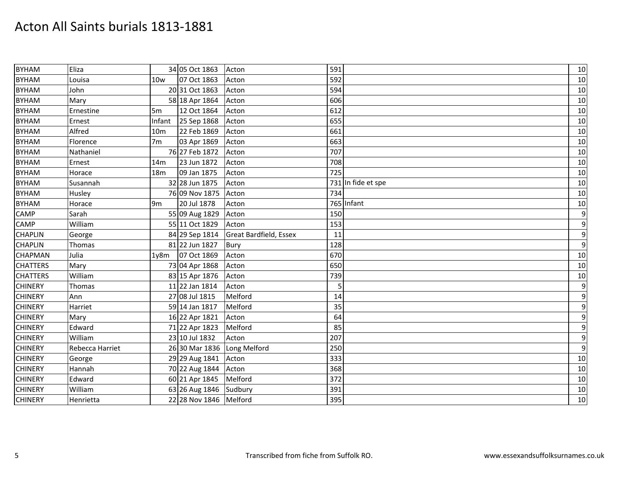| <b>BYHAM</b>    | Eliza           |                   | 34 05 Oct 1863         | Acton                  | 591                | 10               |
|-----------------|-----------------|-------------------|------------------------|------------------------|--------------------|------------------|
| <b>BYHAM</b>    | Louisa          | 10w               | 07 Oct 1863            | Acton                  | 592                | 10               |
| <b>BYHAM</b>    | John            |                   | 20 31 Oct 1863         | Acton                  | 594                | 10               |
| <b>BYHAM</b>    | Mary            |                   | 58 18 Apr 1864         | Acton                  | 606                | 10               |
| <b>BYHAM</b>    | Ernestine       | 5 <sub>m</sub>    | 12 Oct 1864            | Acton                  | 612                | 10               |
| <b>BYHAM</b>    | Ernest          | Infant            | 25 Sep 1868            | Acton                  | 655                | 10               |
| <b>BYHAM</b>    | Alfred          | 10 <sub>m</sub>   | 22 Feb 1869            | Acton                  | 661                | 10               |
| <b>BYHAM</b>    | Florence        | 7 <sub>m</sub>    | 03 Apr 1869            | Acton                  | 663                | 10               |
| <b>BYHAM</b>    | Nathaniel       |                   | 76 27 Feb 1872         | Acton                  | 707                | 10               |
| <b>BYHAM</b>    | Ernest          | 14 <sub>m</sub>   | 23 Jun 1872            | Acton                  | 708                | 10               |
| <b>BYHAM</b>    | Horace          | 18 <sub>m</sub>   | 09 Jan 1875            | Acton                  | 725                | 10               |
| <b>BYHAM</b>    | Susannah        |                   | 32 28 Jun 1875         | Acton                  | 731 In fide et spe | 10               |
| <b>BYHAM</b>    | Husley          |                   | 76 09 Nov 1875         | Acton                  | 734                | 10               |
| <b>BYHAM</b>    | Horace          | 9 <sub>m</sub>    | 20 Jul 1878            | Acton                  | 765 Infant         | 10               |
| <b>CAMP</b>     | Sarah           |                   | 55 09 Aug 1829         | Acton                  | 150                | $\boldsymbol{9}$ |
| <b>CAMP</b>     | William         |                   | 55 11 Oct 1829         | Acton                  | 153                | $\boldsymbol{9}$ |
| <b>CHAPLIN</b>  | George          |                   | 84 29 Sep 1814         | Great Bardfield, Essex | 11                 | $\boldsymbol{9}$ |
| <b>CHAPLIN</b>  | Thomas          |                   | 81 22 Jun 1827         | Bury                   | 128                | $\boldsymbol{9}$ |
| <b>CHAPMAN</b>  | Julia           | 1 <sub>y</sub> 8m | 07 Oct 1869            | Acton                  | 670                | 10               |
| <b>CHATTERS</b> | Mary            |                   | 73 04 Apr 1868         | Acton                  | 650                | 10               |
| <b>CHATTERS</b> | William         |                   | 83 15 Apr 1876         | Acton                  | 739                | 10               |
| <b>CHINERY</b>  | Thomas          |                   | 11 22 Jan 1814         | Acton                  | 5                  | $\boldsymbol{9}$ |
| <b>CHINERY</b>  | Ann             |                   | 27 08 Jul 1815         | Melford                | 14                 | $\boldsymbol{9}$ |
| <b>CHINERY</b>  | Harriet         |                   | 59 14 Jan 1817         | Melford                | 35                 | $\boldsymbol{9}$ |
| <b>CHINERY</b>  | Mary            |                   | 16 22 Apr 1821         | Acton                  | 64                 | $\boldsymbol{9}$ |
| <b>CHINERY</b>  | Edward          |                   | 71 22 Apr 1823         | Melford                | 85                 | $\boldsymbol{9}$ |
| <b>CHINERY</b>  | William         |                   | 23 10 Jul 1832         | Acton                  | 207                | $\boldsymbol{9}$ |
| <b>CHINERY</b>  | Rebecca Harriet |                   | 26 30 Mar 1836         | Long Melford           | 250                | $\boldsymbol{9}$ |
| <b>CHINERY</b>  | George          |                   | 29 29 Aug 1841         | Acton                  | 333                | 10               |
| <b>CHINERY</b>  | Hannah          |                   | 70 22 Aug 1844         | Acton                  | 368                | 10               |
| <b>CHINERY</b>  | Edward          |                   | 60 21 Apr 1845         | Melford                | 372                | 10               |
| <b>CHINERY</b>  | William         |                   | 63 26 Aug 1846         | Sudbury                | 391                | 10               |
| <b>CHINERY</b>  | Henrietta       |                   | 22 28 Nov 1846 Melford |                        | 395                | 10               |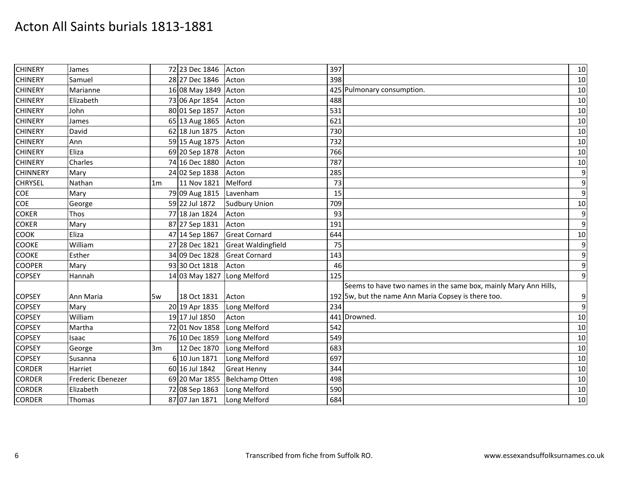| <b>CHINERY</b>  | James             |                | 72 23 Dec 1846 | Acton                           | 397 |                                                                 | 10               |
|-----------------|-------------------|----------------|----------------|---------------------------------|-----|-----------------------------------------------------------------|------------------|
| <b>CHINERY</b>  | Samuel            |                | 28 27 Dec 1846 | Acton                           | 398 |                                                                 | 10               |
| <b>CHINERY</b>  | Marianne          |                | 16 08 May 1849 | Acton                           |     | 425 Pulmonary consumption.                                      | 10               |
| <b>CHINERY</b>  | Elizabeth         |                | 73 06 Apr 1854 | Acton                           | 488 |                                                                 | 10               |
| <b>CHINERY</b>  | John              |                | 80 01 Sep 1857 | Acton                           | 531 |                                                                 | 10               |
| <b>CHINERY</b>  | James             |                | 65 13 Aug 1865 | Acton                           | 621 |                                                                 | 10               |
| <b>CHINERY</b>  | David             |                | 62 18 Jun 1875 | Acton                           | 730 |                                                                 | 10               |
| <b>CHINERY</b>  | Ann               |                | 59 15 Aug 1875 | Acton                           | 732 |                                                                 | 10               |
| <b>CHINERY</b>  | Eliza             |                | 69 20 Sep 1878 | Acton                           | 766 |                                                                 | 10               |
| <b>CHINERY</b>  | Charles           |                | 74 16 Dec 1880 | Acton                           | 787 |                                                                 | $10\,$           |
| <b>CHINNERY</b> | Mary              |                | 24 02 Sep 1838 | Acton                           | 285 |                                                                 | $\boldsymbol{9}$ |
| <b>CHRYSEL</b>  | Nathan            | 1 <sub>m</sub> | 11 Nov 1821    | Melford                         | 73  |                                                                 | $\boldsymbol{9}$ |
| COE             | Mary              |                | 79 09 Aug 1815 | Lavenham                        | 15  |                                                                 | $\boldsymbol{9}$ |
| COE             | George            |                | 59 22 Jul 1872 | <b>Sudbury Union</b>            | 709 |                                                                 | 10               |
| <b>COKER</b>    | Thos              |                | 77 18 Jan 1824 | Acton                           | 93  |                                                                 | $\boldsymbol{9}$ |
| <b>COKER</b>    | Mary              |                | 87 27 Sep 1831 | Acton                           | 191 |                                                                 | $\boldsymbol{9}$ |
| <b>COOK</b>     | Eliza             |                | 47 14 Sep 1867 | <b>Great Cornard</b>            | 644 |                                                                 | 10               |
| <b>COOKE</b>    | William           |                | 27 28 Dec 1821 | <b>Great Waldingfield</b>       | 75  |                                                                 | $\overline{9}$   |
| <b>COOKE</b>    | Esther            |                | 34 09 Dec 1828 | <b>Great Cornard</b>            | 143 |                                                                 | $\boldsymbol{9}$ |
| <b>COOPER</b>   | Mary              |                | 93 30 Oct 1818 | Acton                           | 46  |                                                                 | $\boldsymbol{9}$ |
| <b>COPSEY</b>   | Hannah            |                | 14 03 May 1827 | Long Melford                    | 125 |                                                                 | $\boldsymbol{9}$ |
|                 |                   |                |                |                                 |     | Seems to have two names in the same box, mainly Mary Ann Hills, |                  |
| <b>COPSEY</b>   | Ann Maria         | 5w             | 18 Oct 1831    | Acton                           |     | 192 5w, but the name Ann Maria Copsey is there too.             | 9                |
| <b>COPSEY</b>   | Mary              |                | 20 19 Apr 1835 | Long Melford                    | 234 |                                                                 | $\mathbf{9}$     |
| <b>COPSEY</b>   | William           |                | 19 17 Jul 1850 | Acton                           |     | 441 Drowned.                                                    | 10               |
| <b>COPSEY</b>   | Martha            |                | 72 01 Nov 1858 | Long Melford                    | 542 |                                                                 | 10               |
| <b>COPSEY</b>   | Isaac             |                | 76 10 Dec 1859 | Long Melford                    | 549 |                                                                 | 10               |
| <b>COPSEY</b>   | George            | 3m             | 12 Dec 1870    | Long Melford                    | 683 |                                                                 | 10               |
| <b>COPSEY</b>   | Susanna           |                | 6 10 Jun 1871  | Long Melford                    | 697 |                                                                 | 10               |
| <b>CORDER</b>   | Harriet           |                | 60 16 Jul 1842 | <b>Great Henny</b>              | 344 |                                                                 | 10               |
| <b>CORDER</b>   | Frederic Ebenezer |                |                | 69 20 Mar 1855   Belchamp Otten | 498 |                                                                 | 10               |
| <b>CORDER</b>   | Elizabeth         |                | 72 08 Sep 1863 | Long Melford                    | 590 |                                                                 | 10               |
| <b>CORDER</b>   | Thomas            |                | 87 07 Jan 1871 | Long Melford                    | 684 |                                                                 | 10               |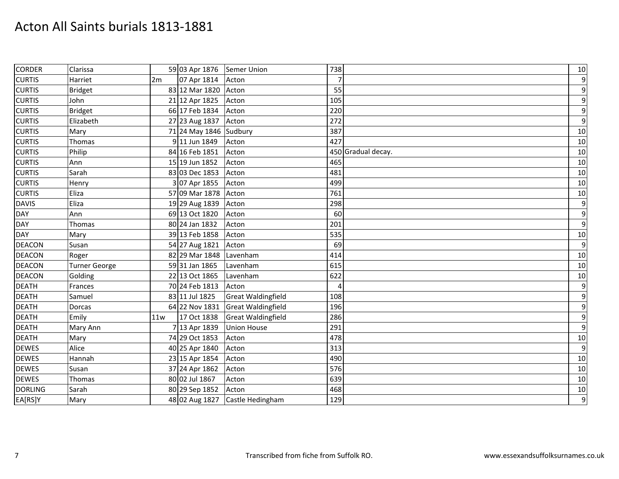| <b>CORDER</b>  | Clarissa             |     | 59 03 Apr 1876         | Semer Union               | 738                | 10               |
|----------------|----------------------|-----|------------------------|---------------------------|--------------------|------------------|
| <b>CURTIS</b>  | Harriet              | 2m  | 07 Apr 1814            | Acton                     | $\overline{7}$     | $\boldsymbol{9}$ |
| <b>CURTIS</b>  | <b>Bridget</b>       |     | 83 12 Mar 1820         | Acton                     | 55                 | $\boldsymbol{9}$ |
| <b>CURTIS</b>  | John                 |     | 21 12 Apr 1825         | Acton                     | 105                | $\boldsymbol{9}$ |
| <b>CURTIS</b>  | <b>Bridget</b>       |     | 66 17 Feb 1834         | Acton                     | 220                | $\boldsymbol{9}$ |
| <b>CURTIS</b>  | Elizabeth            |     | 27 23 Aug 1837         | Acton                     | 272                | $\boldsymbol{9}$ |
| <b>CURTIS</b>  | Mary                 |     | 71 24 May 1846 Sudbury |                           | 387                | 10               |
| <b>CURTIS</b>  | Thomas               |     | 9 11 Jun 1849          | Acton                     | 427                | 10               |
| <b>CURTIS</b>  | Philip               |     | 84 16 Feb 1851         | Acton                     | 450 Gradual decay. | 10               |
| <b>CURTIS</b>  | Ann                  |     | 15 19 Jun 1852         | Acton                     | 465                | 10               |
| <b>CURTIS</b>  | Sarah                |     | 83 03 Dec 1853         | Acton                     | 481                | 10               |
| <b>CURTIS</b>  | Henry                |     | 3 07 Apr 1855          | Acton                     | 499                | 10               |
| <b>CURTIS</b>  | Eliza                |     | 57 09 Mar 1878         | Acton                     | 761                | 10               |
| <b>DAVIS</b>   | Eliza                |     | 19 29 Aug 1839         | Acton                     | 298                | $\boldsymbol{9}$ |
| <b>DAY</b>     | Ann                  |     | 69 13 Oct 1820         | Acton                     | 60                 | $\boldsymbol{9}$ |
| <b>DAY</b>     | Thomas               |     | 80 24 Jan 1832         | Acton                     | 201                | $\boldsymbol{9}$ |
| <b>DAY</b>     | Mary                 |     | 39 13 Feb 1858         | Acton                     | 535                | 10               |
| <b>DEACON</b>  | Susan                |     | 54 27 Aug 1821         | Acton                     | 69                 | $\boldsymbol{9}$ |
| <b>DEACON</b>  | Roger                |     | 82 29 Mar 1848         | Lavenham                  | 414                | 10               |
| <b>DEACON</b>  | <b>Turner George</b> |     | 59 31 Jan 1865         | Lavenham                  | 615                | 10               |
| <b>DEACON</b>  | Golding              |     | 22 13 Oct 1865         | Lavenham                  | 622                | 10               |
| <b>DEATH</b>   | Frances              |     | 70 24 Feb 1813         | Acton                     | 4                  | $\boldsymbol{9}$ |
| <b>DEATH</b>   | Samuel               |     | 83 11 Jul 1825         | <b>Great Waldingfield</b> | 108                | $\boldsymbol{9}$ |
| <b>DEATH</b>   | <b>Dorcas</b>        |     | 64 22 Nov 1831         | <b>Great Waldingfield</b> | 196                | $\boldsymbol{9}$ |
| <b>DEATH</b>   | Emily                | 11w | 17 Oct 1838            | <b>Great Waldingfield</b> | 286                | $\boldsymbol{9}$ |
| <b>DEATH</b>   | Mary Ann             |     | 7 13 Apr 1839          | <b>Union House</b>        | 291                | $\boldsymbol{9}$ |
| <b>DEATH</b>   | Mary                 |     | 74 29 Oct 1853         | Acton                     | 478                | 10               |
| <b>DEWES</b>   | Alice                |     | 40 25 Apr 1840         | Acton                     | 313                | $\boldsymbol{9}$ |
| <b>DEWES</b>   | Hannah               |     | 23 15 Apr 1854         | Acton                     | 490                | 10               |
| <b>DEWES</b>   | Susan                |     | 37 24 Apr 1862         | Acton                     | 576                | 10               |
| <b>DEWES</b>   | Thomas               |     | 80 02 Jul 1867         | Acton                     | 639                | 10               |
| <b>DORLING</b> | Sarah                |     | 80 29 Sep 1852         | Acton                     | 468                | 10               |
| EA[RS]Y        | Mary                 |     | 48 02 Aug 1827         | Castle Hedingham          | 129                | 9                |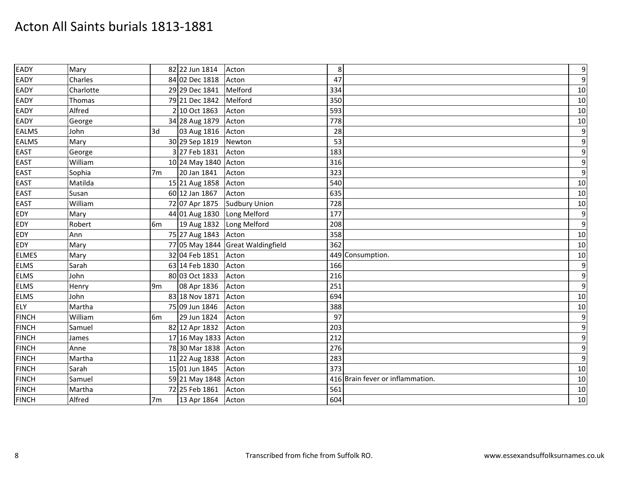| EADY         | Mary      |                | 82 22 Jun 1814           | Acton                             | 8   |                                  | $\boldsymbol{9}$ |
|--------------|-----------|----------------|--------------------------|-----------------------------------|-----|----------------------------------|------------------|
| EADY         | Charles   |                | 84 02 Dec 1818           | Acton                             | 47  |                                  | $\boldsymbol{9}$ |
| EADY         | Charlotte |                | 29 29 Dec 1841           | Melford                           | 334 |                                  | 10               |
| EADY         | Thomas    |                | 79 21 Dec 1842           | Melford                           | 350 |                                  | 10               |
| EADY         | Alfred    |                | 2 10 Oct 1863            | Acton                             | 593 |                                  | 10               |
| EADY         | George    |                | 34 28 Aug 1879           | Acton                             | 778 |                                  | 10               |
| <b>EALMS</b> | John      | 3d             | 03 Aug 1816 Acton        |                                   | 28  |                                  | $\boldsymbol{9}$ |
| <b>EALMS</b> | Mary      |                | 30 29 Sep 1819           | Newton                            | 53  |                                  | $\overline{9}$   |
| <b>EAST</b>  | George    |                | 3 27 Feb 1831            | Acton                             | 183 |                                  | $\boldsymbol{9}$ |
| <b>EAST</b>  | William   |                | 10 24 May 1840 Acton     |                                   | 316 |                                  | $\boldsymbol{9}$ |
| EAST         | Sophia    | 7 <sub>m</sub> | 20 Jan 1841              | Acton                             | 323 |                                  | $\boldsymbol{9}$ |
| <b>EAST</b>  | Matilda   |                | 15 21 Aug 1858 Acton     |                                   | 540 |                                  | 10               |
| <b>EAST</b>  | Susan     |                | 60 12 Jan 1867           | Acton                             | 635 |                                  | 10               |
| <b>EAST</b>  | William   |                | 72 07 Apr 1875           | <b>Sudbury Union</b>              | 728 |                                  | $10\,$           |
| <b>EDY</b>   | Mary      |                | 44 01 Aug 1830           | Long Melford                      | 177 |                                  | $\boldsymbol{9}$ |
| <b>EDY</b>   | Robert    | 6 <sub>m</sub> | 19 Aug 1832 Long Melford |                                   | 208 |                                  | $\overline{9}$   |
| EDY          | Ann       |                | 75 27 Aug 1843 Acton     |                                   | 358 |                                  | 10               |
| EDY          | Mary      |                |                          | 77 05 May 1844 Great Waldingfield | 362 |                                  | 10               |
| <b>ELMES</b> | Mary      |                | 32 04 Feb 1851           | Acton                             |     | 449 Consumption.                 | 10               |
| <b>ELMS</b>  | Sarah     |                | 63 14 Feb 1830           | Acton                             | 166 |                                  | $\overline{9}$   |
| <b>ELMS</b>  | John      |                | 80 03 Oct 1833           | Acton                             | 216 |                                  | $\overline{9}$   |
| <b>ELMS</b>  | Henry     | 9 <sub>m</sub> | 08 Apr 1836              | Acton                             | 251 |                                  | $\overline{9}$   |
| <b>ELMS</b>  | John      |                | 83 18 Nov 1871           | Acton                             | 694 |                                  | 10               |
| <b>ELY</b>   | Martha    |                | 75 09 Jun 1846           | Acton                             | 388 |                                  | 10               |
| <b>FINCH</b> | William   | 6 <sub>m</sub> | 29 Jun 1824              | Acton                             | 97  |                                  | $\overline{9}$   |
| <b>FINCH</b> | Samuel    |                | 82 12 Apr 1832           | Acton                             | 203 |                                  | $\boldsymbol{9}$ |
| <b>FINCH</b> | James     |                | 17 16 May 1833 Acton     |                                   | 212 |                                  | $\boldsymbol{9}$ |
| <b>FINCH</b> | Anne      |                | 78 30 Mar 1838 Acton     |                                   | 276 |                                  | 9                |
| <b>FINCH</b> | Martha    |                | 11 22 Aug 1838           | Acton                             | 283 |                                  | $\boldsymbol{9}$ |
| <b>FINCH</b> | Sarah     |                | 15 01 Jun 1845           | Acton                             | 373 |                                  | 10               |
| <b>FINCH</b> | Samuel    |                | 59 21 May 1848 Acton     |                                   |     | 416 Brain fever or inflammation. | 10               |
| <b>FINCH</b> | Martha    |                | 72 25 Feb 1861           | Acton                             | 561 |                                  | 10               |
| <b>FINCH</b> | Alfred    | 7 <sub>m</sub> | 13 Apr 1864 Acton        |                                   | 604 |                                  | 10               |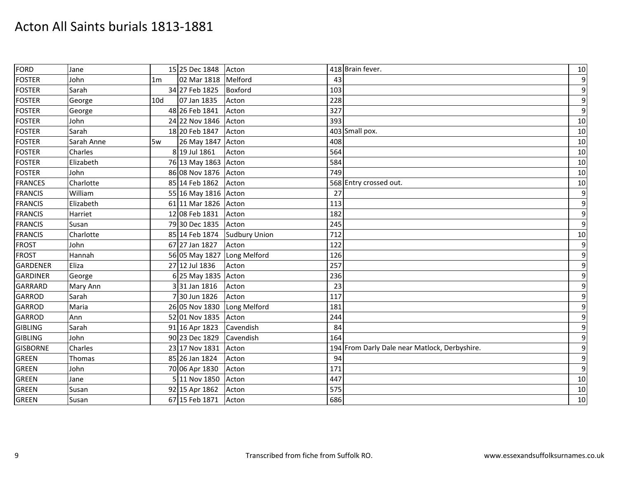| <b>FORD</b>     | Jane       |                | 15 25 Dec 1848 Acton |                      | 418 Brain fever.                              | 10               |
|-----------------|------------|----------------|----------------------|----------------------|-----------------------------------------------|------------------|
| <b>FOSTER</b>   | John       | 1 <sub>m</sub> | 02 Mar 1818 Melford  |                      | 43                                            | $\boldsymbol{9}$ |
| <b>FOSTER</b>   | Sarah      |                | 34 27 Feb 1825       | Boxford              | 103                                           | $\boldsymbol{9}$ |
| <b>FOSTER</b>   | George     | 10d            | 07 Jan 1835          | Acton                | 228                                           | $\boldsymbol{9}$ |
| <b>FOSTER</b>   | George     |                | 48 26 Feb 1841       | Acton                | 327                                           | $\boldsymbol{9}$ |
| <b>FOSTER</b>   | John       |                | 24 22 Nov 1846       | Acton                | 393                                           | 10               |
| <b>FOSTER</b>   | Sarah      |                | 18 20 Feb 1847       | Acton                | 403 Small pox.                                | 10               |
| <b>FOSTER</b>   | Sarah Anne | 5w             | 26 May 1847 Acton    |                      | 408                                           | 10               |
| <b>FOSTER</b>   | Charles    |                | 8 19 Jul 1861        | Acton                | 564                                           | 10               |
| <b>FOSTER</b>   | Elizabeth  |                | 76 13 May 1863 Acton |                      | 584                                           | 10               |
| <b>FOSTER</b>   | John       |                | 86 08 Nov 1876       | Acton                | 749                                           | 10               |
| <b>FRANCES</b>  | Charlotte  |                | 85 14 Feb 1862       | Acton                | 568 Entry crossed out.                        | 10               |
| <b>FRANCIS</b>  | William    |                | 55 16 May 1816 Acton |                      | 27                                            | $\boldsymbol{9}$ |
| <b>FRANCIS</b>  | Elizabeth  |                | 61 11 Mar 1826 Acton |                      | 113                                           | $\boldsymbol{9}$ |
| <b>FRANCIS</b>  | Harriet    |                | 12 08 Feb 1831       | Acton                | 182                                           | $\boldsymbol{9}$ |
| <b>FRANCIS</b>  | Susan      |                | 79 30 Dec 1835       | Acton                | 245                                           | $\boldsymbol{9}$ |
| <b>FRANCIS</b>  | Charlotte  |                | 85 14 Feb 1874       | <b>Sudbury Union</b> | 712                                           | 10               |
| <b>FROST</b>    | John       |                | 67 27 Jan 1827       | Acton                | 122                                           | $\boldsymbol{9}$ |
| <b>FROST</b>    | Hannah     |                | 56 05 May 1827       | Long Melford         | 126                                           | $\boldsymbol{9}$ |
| <b>GARDENER</b> | Eliza      |                | 27 12 Jul 1836       | Acton                | 257                                           | $\boldsymbol{9}$ |
| <b>GARDINER</b> | George     |                | 6 25 May 1835 Acton  |                      | 236                                           | $\boldsymbol{9}$ |
| <b>GARRARD</b>  | Mary Ann   |                | 331 Jan 1816         | Acton                | 23                                            | $\boldsymbol{9}$ |
| <b>GARROD</b>   | Sarah      |                | 730 Jun 1826         | Acton                | 117                                           | $\boldsymbol{9}$ |
| <b>GARROD</b>   | Maria      |                | 26 05 Nov 1830       | Long Melford         | 181                                           | $\boldsymbol{9}$ |
| <b>GARROD</b>   | Ann        |                | 52 01 Nov 1835       | Acton                | 244                                           | $\boldsymbol{9}$ |
| <b>GIBLING</b>  | Sarah      |                | 91 16 Apr 1823       | Cavendish            | 84                                            | $\boldsymbol{9}$ |
| <b>GIBLING</b>  | John       |                | 90 23 Dec 1829       | Cavendish            | 164                                           | $\boldsymbol{9}$ |
| <b>GISBORNE</b> | Charles    |                | 23 17 Nov 1831       | Acton                | 194 From Darly Dale near Matlock, Derbyshire. | $\boldsymbol{9}$ |
| <b>GREEN</b>    | Thomas     |                | 85 26 Jan 1824       | Acton                | 94                                            | $\boldsymbol{9}$ |
| <b>GREEN</b>    | John       |                | 70 06 Apr 1830       | Acton                | 171                                           | $\boldsymbol{9}$ |
| <b>GREEN</b>    | Jane       |                | 5 11 Nov 1850        | Acton                | 447                                           | 10               |
| GREEN           | Susan      |                | 92 15 Apr 1862       | Acton                | 575                                           | 10               |
| <b>GREEN</b>    | Susan      |                | 67 15 Feb 1871       | Acton                | 686                                           | 10               |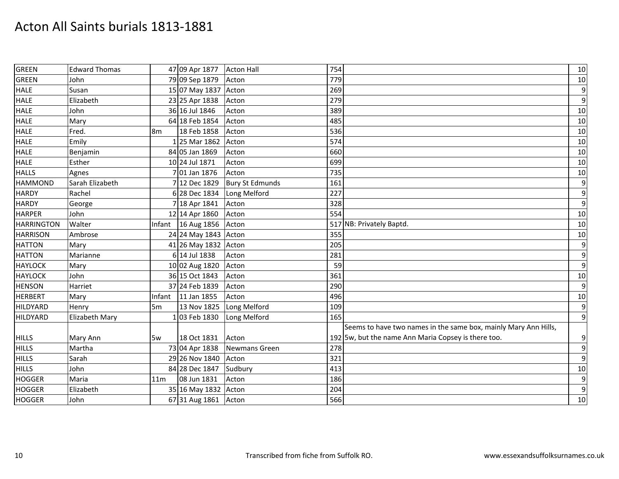| <b>GREEN</b>      | <b>Edward Thomas</b> |                | 47 09 Apr 1877       | <b>Acton Hall</b>      | 754 |                                                                 | 10               |
|-------------------|----------------------|----------------|----------------------|------------------------|-----|-----------------------------------------------------------------|------------------|
| <b>GREEN</b>      | John                 |                | 79 09 Sep 1879       | Acton                  | 779 |                                                                 | $10\,$           |
| <b>HALE</b>       | Susan                |                | 15 07 May 1837       | Acton                  | 269 |                                                                 | 9                |
| <b>HALE</b>       | Elizabeth            |                | 23 25 Apr 1838       | Acton                  | 279 |                                                                 | 9                |
| <b>HALE</b>       | John                 |                | 36 16 Jul 1846       | Acton                  | 389 |                                                                 | 10               |
| <b>HALE</b>       | Mary                 |                | 64 18 Feb 1854       | Acton                  | 485 |                                                                 | 10               |
| <b>HALE</b>       | Fred.                | 8 <sub>m</sub> | 18 Feb 1858          | Acton                  | 536 |                                                                 | 10               |
| <b>HALE</b>       | Emily                |                | 1 25 Mar 1862        | Acton                  | 574 |                                                                 | 10               |
| <b>HALE</b>       | Benjamin             |                | 84 05 Jan 1869       | Acton                  | 660 |                                                                 | 10               |
| <b>HALE</b>       | Esther               |                | 10 24 Jul 1871       | Acton                  | 699 |                                                                 | 10               |
| <b>HALLS</b>      | Agnes                |                | 7 01 Jan 1876        | Acton                  | 735 |                                                                 | 10               |
| <b>HAMMOND</b>    | Sarah Elizabeth      |                | 7 12 Dec 1829        | <b>Bury St Edmunds</b> | 161 |                                                                 | 9                |
| <b>HARDY</b>      | Rachel               |                | 6 28 Dec 1834        | Long Melford           | 227 |                                                                 | $\boldsymbol{9}$ |
| <b>HARDY</b>      | George               |                | 7 18 Apr 1841        | Acton                  | 328 |                                                                 | $\overline{9}$   |
| <b>HARPER</b>     | John                 |                | 12 14 Apr 1860       | Acton                  | 554 |                                                                 | 10               |
| <b>HARRINGTON</b> | Walter               |                | Infant 16 Aug 1856   | Acton                  |     | 517 NB: Privately Baptd                                         | 10               |
| <b>HARRISON</b>   | Ambrose              |                | 24 24 May 1843 Acton |                        | 355 |                                                                 | 10               |
| <b>HATTON</b>     | Mary                 |                | 41 26 May 1832       | Acton                  | 205 |                                                                 | $\boldsymbol{9}$ |
| <b>HATTON</b>     | Marianne             |                | 6 14 Jul 1838        | Acton                  | 281 |                                                                 | 9                |
| <b>HAYLOCK</b>    | Mary                 |                | 10 02 Aug 1820       | Acton                  | 59  |                                                                 | $\overline{9}$   |
| <b>HAYLOCK</b>    | John                 |                | 36 15 Oct 1843       | Acton                  | 361 |                                                                 | 10               |
| <b>HENSON</b>     | Harriet              |                | 37 24 Feb 1839       | Acton                  | 290 |                                                                 | $\overline{9}$   |
| <b>HERBERT</b>    | Mary                 | Infant         | 11 Jan 1855          | Acton                  | 496 |                                                                 | 10               |
| <b>HILDYARD</b>   | Henry                | 5 <sub>m</sub> | 13 Nov 1825          | Long Melford           | 109 |                                                                 | $\overline{9}$   |
| <b>HILDYARD</b>   | Elizabeth Mary       |                | 103 Feb 1830         | Long Melford           | 165 |                                                                 | $\overline{9}$   |
|                   |                      |                |                      |                        |     | Seems to have two names in the same box, mainly Mary Ann Hills, |                  |
| <b>HILLS</b>      | Mary Ann             | 5w             | 18 Oct 1831          | Acton                  |     | 192 5w, but the name Ann Maria Copsey is there too.             | 9                |
| <b>HILLS</b>      | Martha               |                | 73 04 Apr 1838       | <b>Newmans Green</b>   | 278 |                                                                 | $\overline{9}$   |
| <b>HILLS</b>      | Sarah                |                | 29 26 Nov 1840       | Acton                  | 321 |                                                                 | $\overline{9}$   |
| <b>HILLS</b>      | John                 |                | 84 28 Dec 1847       | Sudbury                | 413 |                                                                 | 10               |
| <b>HOGGER</b>     | Maria                | 11m            | 08 Jun 1831          | Acton                  | 186 |                                                                 | 9                |
| <b>HOGGER</b>     | Elizabeth            |                | 35 16 May 1832 Acton |                        | 204 |                                                                 | $\overline{9}$   |
| <b>HOGGER</b>     | John                 |                | 67 31 Aug 1861 Acton |                        | 566 |                                                                 | 10               |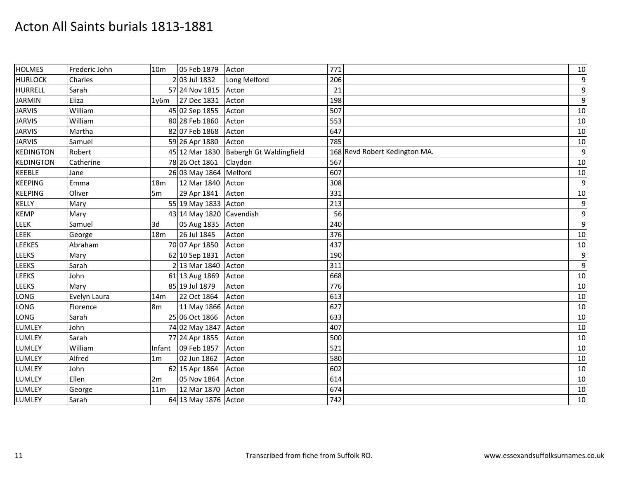| <b>HOLMES</b>    | Frederic John | 10 <sub>m</sub> | 05 Feb 1879              | Acton                                  | 771                           | 10               |
|------------------|---------------|-----------------|--------------------------|----------------------------------------|-------------------------------|------------------|
| <b>HURLOCK</b>   | Charles       |                 | 2 03 Jul 1832            | Long Melford                           | 206                           | $\boldsymbol{9}$ |
| <b>HURRELL</b>   | Sarah         |                 | 57 24 Nov 1815           | Acton                                  | 21                            | $\boldsymbol{9}$ |
| <b>JARMIN</b>    | Eliza         | 1y6m            | 27 Dec 1831              | Acton                                  | 198                           | $\boldsymbol{9}$ |
| <b>JARVIS</b>    | William       |                 | 45 02 Sep 1855           | Acton                                  | 507                           | 10               |
| <b>JARVIS</b>    | William       |                 | 80 28 Feb 1860           | Acton                                  | 553                           | 10               |
| <b>JARVIS</b>    | Martha        |                 | 82 07 Feb 1868           | Acton                                  | 647                           | 10               |
| <b>JARVIS</b>    | Samuel        |                 | 59 26 Apr 1880           | Acton                                  | 785                           | 10               |
| <b>KEDINGTON</b> | Robert        |                 |                          | 45 12 Mar 1830 Babergh Gt Waldingfield | 168 Revd Robert Kedington MA. | $\boldsymbol{9}$ |
| <b>KEDINGTON</b> | Catherine     |                 | 78 26 Oct 1861           | Claydon                                | 567                           | 10               |
| <b>KEEBLE</b>    | Jane          |                 | 26 03 May 1864 Melford   |                                        | 607                           | 10               |
| <b>KEEPING</b>   | Emma          | 18m             | 12 Mar 1840              | Acton                                  | 308                           | $\boldsymbol{9}$ |
| <b>KEEPING</b>   | Oliver        | 5 <sub>m</sub>  | 29 Apr 1841              | Acton                                  | 331                           | 10               |
| KELLY            | Mary          |                 | 55 19 May 1833 Acton     |                                        | 213                           | $\boldsymbol{9}$ |
| <b>KEMP</b>      | Mary          |                 | 43 14 May 1820 Cavendish |                                        | 56                            | $\boldsymbol{9}$ |
| LEEK             | Samuel        | 3d              | 05 Aug 1835              | Acton                                  | 240                           | $\boldsymbol{9}$ |
| LEEK             | George        | 18 <sub>m</sub> | 26 Jul 1845              | Acton                                  | 376                           | 10               |
| <b>LEEKES</b>    | Abraham       |                 | 70 07 Apr 1850           | Acton                                  | 437                           | 10               |
| LEEKS            | Mary          |                 | 62 10 Sep 1831           | Acton                                  | 190                           | $\boldsymbol{9}$ |
| <b>LEEKS</b>     | Sarah         |                 | 2 13 Mar 1840            | Acton                                  | 311                           | $\boldsymbol{9}$ |
| <b>LEEKS</b>     | John          |                 | 61 13 Aug 1869           | Acton                                  | 668                           | 10               |
| LEEKS            | Mary          |                 | 85 19 Jul 1879           | Acton                                  | 776                           | 10               |
| LONG             | Evelyn Laura  | 14m             | 22 Oct 1864              | Acton                                  | 613                           | 10               |
| LONG             | Florence      | 8m              | 11 May 1866              | Acton                                  | 627                           | 10               |
| LONG             | Sarah         |                 | 25 06 Oct 1866           | Acton                                  | 633                           | 10               |
| <b>LUMLEY</b>    | John          |                 | 74 02 May 1847           | Acton                                  | 407                           | 10               |
| <b>LUMLEY</b>    | Sarah         |                 | 77 24 Apr 1855           | Acton                                  | 500                           | 10               |
| <b>LUMLEY</b>    | William       | Infant          | 09 Feb 1857              | Acton                                  | 521                           | 10               |
| <b>LUMLEY</b>    | Alfred        | 1 <sub>m</sub>  | 02 Jun 1862              | Acton                                  | 580                           | 10               |
| <b>LUMLEY</b>    | John          |                 | 62 15 Apr 1864           | Acton                                  | 602                           | 10               |
| <b>LUMLEY</b>    | Ellen         | 2m              | 05 Nov 1864              | Acton                                  | 614                           | 10               |
| <b>LUMLEY</b>    | George        | 11 <sub>m</sub> | 12 Mar 1870              | Acton                                  | 674                           | 10               |
| <b>LUMLEY</b>    | Sarah         |                 | 64 13 May 1876 Acton     |                                        | 742                           | 10               |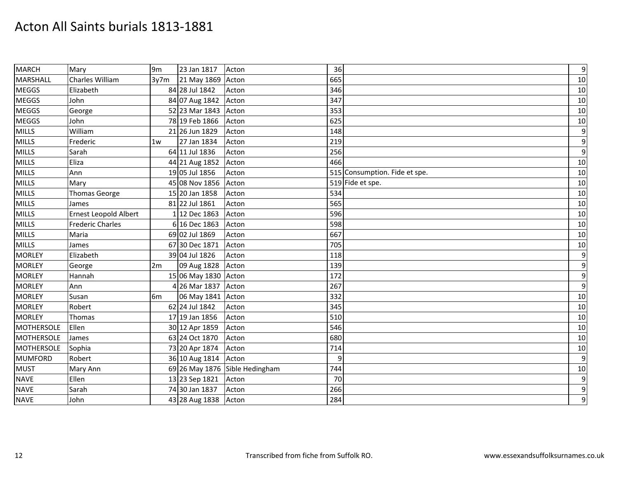| <b>MARCH</b>    | Mary                         | 9 <sub>m</sub> | 23 Jan 1817          | Acton                          | 36                            | $\boldsymbol{9}$ |
|-----------------|------------------------------|----------------|----------------------|--------------------------------|-------------------------------|------------------|
| <b>MARSHALL</b> | Charles William              | 3y7m           | 21 May 1869          | Acton                          | 665                           | 10               |
| <b>MEGGS</b>    | Elizabeth                    |                | 84 28 Jul 1842       | Acton                          | 346                           | 10               |
| <b>MEGGS</b>    | John                         |                | 84 07 Aug 1842       | Acton                          | 347                           | 10               |
| <b>MEGGS</b>    | George                       |                | 52 23 Mar 1843       | Acton                          | 353                           | 10               |
| <b>MEGGS</b>    | John                         |                | 78 19 Feb 1866       | Acton                          | 625                           | 10               |
| <b>MILLS</b>    | William                      |                | 21 26 Jun 1829       | Acton                          | 148                           | $\boldsymbol{9}$ |
| <b>MILLS</b>    | Frederic                     | 1w             | 27 Jan 1834          | Acton                          | 219                           | $\boldsymbol{9}$ |
| <b>MILLS</b>    | Sarah                        |                | 64 11 Jul 1836       | Acton                          | 256                           | $\overline{9}$   |
| <b>MILLS</b>    | Eliza                        |                | 44 21 Aug 1852       | Acton                          | 466                           | 10               |
| <b>MILLS</b>    | Ann                          |                | 19 05 Jul 1856       | Acton                          | 515 Consumption. Fide et spe. | 10               |
| <b>MILLS</b>    | Mary                         |                | 45 08 Nov 1856       | Acton                          | 519 Fide et spe.              | 10               |
| <b>MILLS</b>    | Thomas George                |                | 15 20 Jan 1858       | Acton                          | 534                           | 10               |
| <b>MILLS</b>    | James                        |                | 81 22 Jul 1861       | Acton                          | 565                           | 10               |
| <b>MILLS</b>    | <b>Ernest Leopold Albert</b> |                | 1 12 Dec 1863        | Acton                          | 596                           | 10               |
| <b>MILLS</b>    | <b>Frederic Charles</b>      |                | 6 16 Dec 1863        | Acton                          | 598                           | 10               |
| <b>MILLS</b>    | Maria                        |                | 69 02 Jul 1869       | Acton                          | 667                           | 10               |
| <b>MILLS</b>    | James                        |                | 67 30 Dec 1871       | Acton                          | 705                           | 10               |
| <b>MORLEY</b>   | Elizabeth                    |                | 39 04 Jul 1826       | Acton                          | 118                           | $\boldsymbol{9}$ |
| <b>MORLEY</b>   | George                       | 2m             | 09 Aug 1828          | Acton                          | 139                           | $\boldsymbol{9}$ |
| <b>MORLEY</b>   | Hannah                       |                | 15 06 May 1830 Acton |                                | 172                           | $\boldsymbol{9}$ |
| <b>MORLEY</b>   | Ann                          |                | 4 26 Mar 1837        | Acton                          | 267                           | $\boldsymbol{9}$ |
| <b>MORLEY</b>   | Susan                        | 6 <sub>m</sub> | 06 May 1841 Acton    |                                | 332                           | 10               |
| <b>MORLEY</b>   | Robert                       |                | 62 24 Jul 1842       | Acton                          | 345                           | 10               |
| <b>MORLEY</b>   | Thomas                       |                | 17 19 Jan 1856       | Acton                          | 510                           | 10               |
| MOTHERSOLE      | Ellen                        |                | 30 12 Apr 1859       | Acton                          | 546                           | 10               |
| MOTHERSOLE      | James                        |                | 63 24 Oct 1870       | Acton                          | 680                           | 10               |
| MOTHERSOLE      | Sophia                       |                | 73 20 Apr 1874       | Acton                          | 714                           | 10               |
| <b>MUMFORD</b>  | Robert                       |                | 36 10 Aug 1814       | Acton                          | 9                             | $\boldsymbol{9}$ |
| <b>MUST</b>     | Mary Ann                     |                |                      | 69 26 May 1876 Sible Hedingham | 744                           | 10               |
| <b>NAVE</b>     | Ellen                        |                | 13 23 Sep 1821       | Acton                          | 70                            | $\boldsymbol{9}$ |
| <b>NAVE</b>     | Sarah                        |                | 74 30 Jan 1837       | Acton                          | 266                           | $\boldsymbol{9}$ |
| <b>NAVE</b>     | John                         |                | 43 28 Aug 1838       | Acton                          | 284                           | $\boldsymbol{9}$ |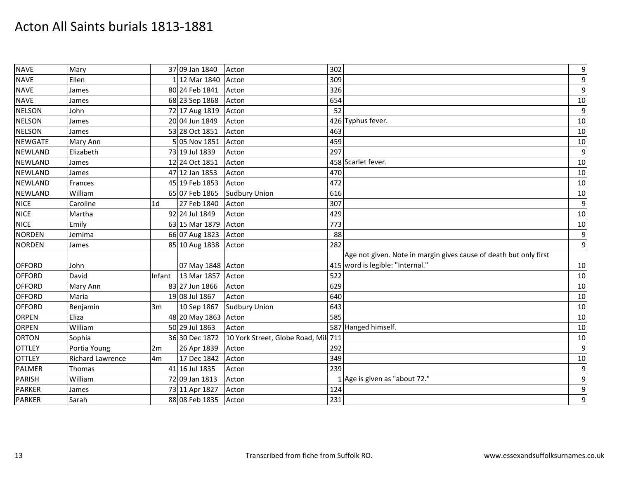| <b>NAVE</b>    | Mary                    |                | 37 09 Jan 1840    | Acton                               | 302 |                                                                   | $\boldsymbol{9}$ |
|----------------|-------------------------|----------------|-------------------|-------------------------------------|-----|-------------------------------------------------------------------|------------------|
| <b>NAVE</b>    | Ellen                   |                | 1 12 Mar 1840     | Acton                               | 309 |                                                                   | $\boldsymbol{9}$ |
| <b>NAVE</b>    | James                   |                | 80 24 Feb 1841    | Acton                               | 326 |                                                                   | $\boldsymbol{9}$ |
| <b>NAVE</b>    | James                   |                | 68 23 Sep 1868    | Acton                               | 654 |                                                                   | 10               |
| <b>NELSON</b>  | John                    |                | 72 17 Aug 1819    | Acton                               | 52  |                                                                   | $\boldsymbol{9}$ |
| <b>NELSON</b>  | James                   |                | 20 04 Jun 1849    | Acton                               |     | 426 Typhus fever.                                                 | 10               |
| <b>NELSON</b>  | James                   |                | 53 28 Oct 1851    | Acton                               | 463 |                                                                   | 10               |
| <b>NEWGATE</b> | Mary Ann                |                | 5 05 Nov 1851     | Acton                               | 459 |                                                                   | 10               |
| <b>NEWLAND</b> | Elizabeth               |                | 73 19 Jul 1839    | Acton                               | 297 |                                                                   | 9                |
| <b>NEWLAND</b> | James                   |                | 12 24 Oct 1851    | Acton                               |     | 458 Scarlet fever.                                                | 10               |
| <b>NEWLAND</b> | James                   |                | 47 12 Jan 1853    | Acton                               | 470 |                                                                   | 10               |
| <b>NEWLAND</b> | Frances                 |                | 45 19 Feb 1853    | Acton                               | 472 |                                                                   | 10               |
| <b>NEWLAND</b> | William                 |                | 65 07 Feb 1865    | <b>Sudbury Union</b>                | 616 |                                                                   | 10               |
| <b>NICE</b>    | Caroline                | 1 <sub>d</sub> | 27 Feb 1840       | Acton                               | 307 |                                                                   | $\boldsymbol{9}$ |
| <b>NICE</b>    | Martha                  |                | 92 24 Jul 1849    | Acton                               | 429 |                                                                   | 10               |
| <b>NICE</b>    | Emily                   |                | 63 15 Mar 1879    | Acton                               | 773 |                                                                   | 10               |
| <b>NORDEN</b>  | Jemima                  |                | 66 07 Aug 1823    | Acton                               | 88  |                                                                   | $\boldsymbol{9}$ |
| <b>NORDEN</b>  | James                   |                | 85 10 Aug 1838    | Acton                               | 282 |                                                                   | $\boldsymbol{9}$ |
|                |                         |                |                   |                                     |     | Age not given. Note in margin gives cause of death but only first |                  |
| <b>OFFORD</b>  | John                    |                | 07 May 1848 Acton |                                     |     | 415 word is legible: "Internal."                                  | 10               |
| <b>OFFORD</b>  | David                   | Infant         | 13 Mar 1857       | Acton                               | 522 |                                                                   | 10               |
| <b>OFFORD</b>  | Mary Ann                |                | 83 27 Jun 1866    | Acton                               | 629 |                                                                   | 10               |
| <b>OFFORD</b>  | Maria                   |                | 19 08 Jul 1867    | Acton                               | 640 |                                                                   | 10               |
| <b>OFFORD</b>  | Benjamin                | 3m             | 10 Sep 1867       | <b>Sudbury Union</b>                | 643 |                                                                   | 10               |
| <b>ORPEN</b>   | Eliza                   |                | 48 20 May 1863    | Acton                               | 585 |                                                                   | 10               |
| <b>ORPEN</b>   | William                 |                | 50 29 Jul 1863    | Acton                               |     | 587 Hanged himself.                                               | 10               |
| <b>ORTON</b>   | Sophia                  |                | 36 30 Dec 1872    | 10 York Street, Globe Road, Mil 711 |     |                                                                   | 10               |
| <b>OTTLEY</b>  | Portia Young            | 2m             | 26 Apr 1839       | Acton                               | 292 |                                                                   | $\boldsymbol{9}$ |
| <b>OTTLEY</b>  | <b>Richard Lawrence</b> | 4m             | 17 Dec 1842       | Acton                               | 349 |                                                                   | 10               |
| <b>PALMER</b>  | Thomas                  |                | 41 16 Jul 1835    | Acton                               | 239 |                                                                   | $\boldsymbol{9}$ |
| <b>PARISH</b>  | William                 |                | 72 09 Jan 1813    | Acton                               |     | LAge is given as "about 72."                                      | $\boldsymbol{9}$ |
| PARKER         | James                   |                | 73 11 Apr 1827    | Acton                               | 124 |                                                                   | $\boldsymbol{9}$ |
| <b>PARKER</b>  | Sarah                   |                | 88 08 Feb 1835    | Acton                               | 231 |                                                                   | $\boldsymbol{9}$ |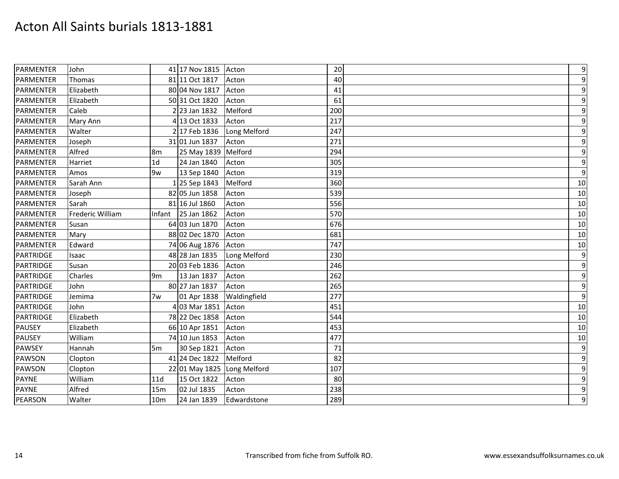| <b>PARMENTER</b> | John             |                 | 41 17 Nov 1815 Acton        |              | 20  | $\boldsymbol{9}$ |
|------------------|------------------|-----------------|-----------------------------|--------------|-----|------------------|
| <b>PARMENTER</b> | Thomas           |                 | 81 11 Oct 1817              | Acton        | 40  | $\overline{9}$   |
| <b>PARMENTER</b> | Elizabeth        |                 | 80 04 Nov 1817              | Acton        | 41  | $\boldsymbol{9}$ |
| <b>PARMENTER</b> | Elizabeth        |                 | 50 31 Oct 1820              | Acton        | 61  | 9                |
| <b>PARMENTER</b> | Caleb            |                 | 2 23 Jan 1832               | Melford      | 200 | $\boldsymbol{9}$ |
| <b>PARMENTER</b> | Mary Ann         |                 | 4 13 Oct 1833               | Acton        | 217 | $\overline{9}$   |
| PARMENTER        | Walter           |                 | 2 17 Feb 1836               | Long Melford | 247 | $\overline{9}$   |
| <b>PARMENTER</b> | Joseph           |                 | 31 01 Jun 1837              | Acton        | 271 | 9                |
| <b>PARMENTER</b> | Alfred           | 8 <sub>m</sub>  | 25 May 1839 Melford         |              | 294 | $\overline{9}$   |
| PARMENTER        | Harriet          | 1 <sub>d</sub>  | 24 Jan 1840                 | Acton        | 305 | $\overline{9}$   |
| <b>PARMENTER</b> | Amos             | 9w              | 13 Sep 1840                 | Acton        | 319 | $\overline{9}$   |
| PARMENTER        | Sarah Ann        |                 | 125 Sep 1843                | Melford      | 360 | 10               |
| PARMENTER        | Joseph           |                 | 82 05 Jun 1858              | Acton        | 539 | 10               |
| PARMENTER        | Sarah            |                 | 81 16 Jul 1860              | Acton        | 556 | 10               |
| <b>PARMENTER</b> | Frederic William |                 | Infant 25 Jan 1862          | Acton        | 570 | 10               |
| PARMENTER        | Susan            |                 | 64 03 Jun 1870              | Acton        | 676 | 10               |
| <b>PARMENTER</b> | Mary             |                 | 88 02 Dec 1870              | Acton        | 681 | 10               |
| <b>PARMENTER</b> | Edward           |                 | 74 06 Aug 1876              | Acton        | 747 | 10               |
| <b>PARTRIDGE</b> | Isaac            |                 | 48 28 Jan 1835              | Long Melford | 230 | 9                |
| PARTRIDGE        | Susan            |                 | 20 03 Feb 1836              | Acton        | 246 | $\overline{9}$   |
| <b>PARTRIDGE</b> | Charles          | l9m             | 13 Jan 1837                 | Acton        | 262 | 9                |
| <b>PARTRIDGE</b> | John             |                 | 80 27 Jan 1837              | Acton        | 265 | 9                |
| <b>PARTRIDGE</b> | Jemima           | 7w              | 01 Apr 1838                 | Waldingfield | 277 | $\overline{9}$   |
| PARTRIDGE        | John             |                 | 4 03 Mar 1851               | Acton        | 451 | 10               |
| <b>PARTRIDGE</b> | Elizabeth        |                 | 78 22 Dec 1858              | Acton        | 544 | 10               |
| <b>PAUSEY</b>    | Elizabeth        |                 | 66 10 Apr 1851              | Acton        | 453 | 10               |
| <b>PAUSEY</b>    | William          |                 | 74 10 Jun 1853              | Acton        | 477 | 10               |
| PAWSEY           | Hannah           | 5m              | 30 Sep 1821                 | Acton        | 71  | $\boldsymbol{9}$ |
| PAWSON           | Clopton          |                 | 41 24 Dec 1822              | Melford      | 82  | 9                |
| <b>PAWSON</b>    | Clopton          |                 | 22 01 May 1825 Long Melford |              | 107 | $\overline{9}$   |
| <b>PAYNE</b>     | William          | 11d             | 15 Oct 1822                 | Acton        | 80  | $\overline{9}$   |
| <b>PAYNE</b>     | Alfred           | 15m             | 02 Jul 1835                 | Acton        | 238 | $\boldsymbol{9}$ |
| <b>PEARSON</b>   | Walter           | 10 <sub>m</sub> | 24 Jan 1839                 | Edwardstone  | 289 | $\boldsymbol{9}$ |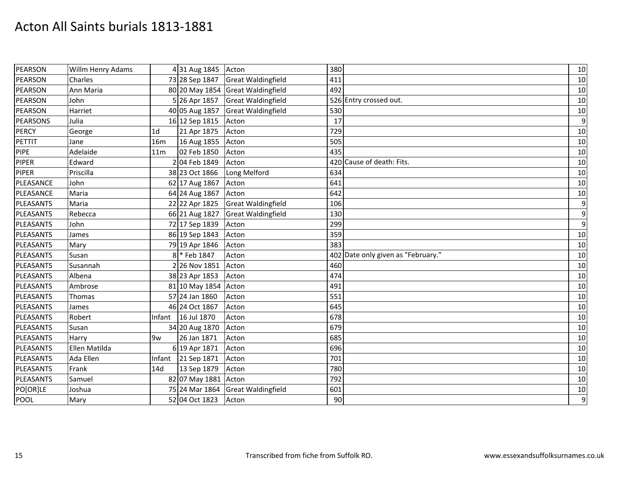| PEARSON         | Willm Henry Adams |                 | 4 31 Aug 1845        | Acton                             | 380                                | 10               |
|-----------------|-------------------|-----------------|----------------------|-----------------------------------|------------------------------------|------------------|
| PEARSON         | Charles           |                 | 73 28 Sep 1847       | <b>Great Waldingfield</b>         | 411                                | 10               |
| PEARSON         | Ann Maria         |                 |                      | 80 20 May 1854 Great Waldingfield | 492                                | 10               |
| PEARSON         | John              |                 | 5 26 Apr 1857        | <b>Great Waldingfield</b>         | 526 Entry crossed out.             | 10               |
| PEARSON         | Harriet           |                 | 40 05 Aug 1857       | <b>Great Waldingfield</b>         | 530                                | 10               |
| <b>PEARSONS</b> | Julia             |                 | 16 12 Sep 1815       | Acton                             | 17                                 | $\boldsymbol{9}$ |
| <b>PERCY</b>    | George            | 1 <sub>d</sub>  | 21 Apr 1875          | Acton                             | 729                                | 10               |
| PETTIT          | Jane              | 16m             | 16 Aug 1855          | Acton                             | 505                                | 10               |
| <b>PIPE</b>     | Adelaide          | 11 <sub>m</sub> | 02 Feb 1850          | Acton                             | 435                                | 10               |
| <b>PIPER</b>    | Edward            |                 | 2 04 Feb 1849        | Acton                             | 420 Cause of death: Fits.          | 10               |
| <b>PIPER</b>    | Priscilla         |                 | 38 23 Oct 1866       | Long Melford                      | 634                                | 10               |
| PLEASANCE       | John              |                 | 62 17 Aug 1867       | Acton                             | 641                                | 10               |
| PLEASANCE       | Maria             |                 | 64 24 Aug 1867       | Acton                             | 642                                | 10               |
| PLEASANTS       | Maria             |                 | 22 22 Apr 1825       | <b>Great Waldingfield</b>         | 106                                | $\boldsymbol{9}$ |
| PLEASANTS       | Rebecca           |                 | 66 21 Aug 1827       | <b>Great Waldingfield</b>         | 130                                | $\boldsymbol{9}$ |
| PLEASANTS       | John              |                 | 72 17 Sep 1839       | Acton                             | 299                                | $\boldsymbol{9}$ |
| PLEASANTS       | James             |                 | 86 19 Sep 1843       | Acton                             | 359                                | 10               |
| PLEASANTS       | Mary              |                 | 79 19 Apr 1846       | Acton                             | 383                                | $10\,$           |
| PLEASANTS       | Susan             |                 | 8 * Feb 1847         | Acton                             | 402 Date only given as "February." | 10               |
| PLEASANTS       | Susannah          |                 | 2 26 Nov 1851        | Acton                             | 460                                | 10               |
| PLEASANTS       | Albena            |                 | 38 23 Apr 1853       | Acton                             | 474                                | 10               |
| PLEASANTS       | Ambrose           |                 | 81 10 May 1854 Acton |                                   | 491                                | 10               |
| PLEASANTS       | Thomas            |                 | 57 24 Jan 1860       | Acton                             | 551                                | 10               |
| PLEASANTS       | James             |                 | 46 24 Oct 1867       | Acton                             | 645                                | 10               |
| PLEASANTS       | Robert            | Infant          | 16 Jul 1870          | Acton                             | 678                                | 10               |
| PLEASANTS       | Susan             |                 | 34 20 Aug 1870       | Acton                             | 679                                | $10\,$           |
| PLEASANTS       | Harry             | 9w              | 26 Jan 1871          | Acton                             | 685                                | 10               |
| PLEASANTS       | Ellen Matilda     |                 | 6 19 Apr 1871        | Acton                             | 696                                | 10               |
| PLEASANTS       | Ada Ellen         | Infant          | 21 Sep 1871          | Acton                             | 701                                | 10               |
| PLEASANTS       | Frank             | 14d             | 13 Sep 1879          | Acton                             | 780                                | 10               |
| PLEASANTS       | Samuel            |                 | 82 07 May 1881 Acton |                                   | 792                                | 10               |
| PO[OR]LE        | Joshua            |                 | 75 24 Mar 1864       | <b>Great Waldingfield</b>         | 601                                | 10               |
| POOL            | Mary              |                 | 52 04 Oct 1823       | Acton                             | 90                                 | $\boldsymbol{9}$ |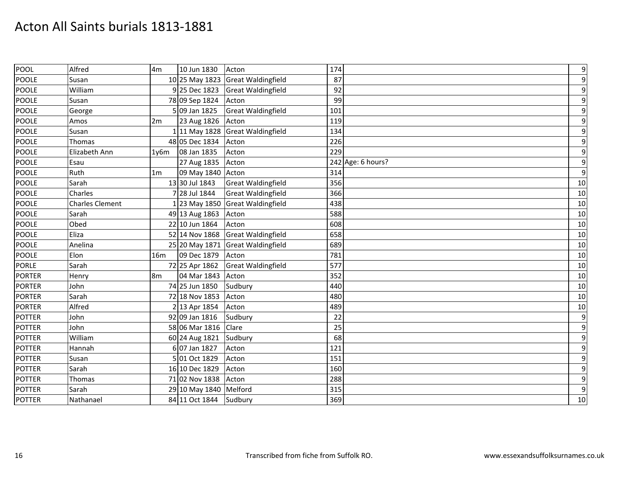| <b>POOL</b>   | Alfred                 | 4m             | 10 Jun 1830            | Acton                             | 174               | $\boldsymbol{9}$ |
|---------------|------------------------|----------------|------------------------|-----------------------------------|-------------------|------------------|
| <b>POOLE</b>  | Susan                  |                |                        | 10 25 May 1823 Great Waldingfield | 87                | $\boldsymbol{9}$ |
| POOLE         | William                |                | 9 25 Dec 1823          | <b>Great Waldingfield</b>         | 92                | $\boldsymbol{9}$ |
| <b>POOLE</b>  | Susan                  |                | 78 09 Sep 1824         | Acton                             | 99                | $\boldsymbol{9}$ |
| <b>POOLE</b>  | George                 |                | 5 09 Jan 1825          | <b>Great Waldingfield</b>         | 101               | $\boldsymbol{9}$ |
| <b>POOLE</b>  | Amos                   | 2m             | 23 Aug 1826            | Acton                             | 119               | $\boldsymbol{9}$ |
| POOLE         | Susan                  |                |                        | 1 11 May 1828 Great Waldingfield  | 134               | $\boldsymbol{9}$ |
| POOLE         | Thomas                 |                | 48 05 Dec 1834         | Acton                             | 226               | $\boldsymbol{9}$ |
| <b>POOLE</b>  | Elizabeth Ann          | 1v6m           | 08 Jan 1835            | Acton                             | 229               | $\boldsymbol{9}$ |
| <b>POOLE</b>  | Esau                   |                | 27 Aug 1835            | Acton                             | 242 Age: 6 hours? | $\boldsymbol{9}$ |
| <b>POOLE</b>  | Ruth                   | 1 <sub>m</sub> | 09 May 1840 Acton      |                                   | 314               | $\boldsymbol{9}$ |
| <b>POOLE</b>  | Sarah                  |                | 13 30 Jul 1843         | <b>Great Waldingfield</b>         | 356               | 10               |
| <b>POOLE</b>  | Charles                |                | 7 28 Jul 1844          | <b>Great Waldingfield</b>         | 366               | 10               |
| <b>POOLE</b>  | <b>Charles Clement</b> |                |                        | [23 May 1850 Great Waldingfield   | 438               | $10\,$           |
| <b>POOLE</b>  | Sarah                  |                | 49 13 Aug 1863         | Acton                             | 588               | 10               |
| POOLE         | Obed                   |                | 22 10 Jun 1864         | Acton                             | 608               | 10               |
| <b>POOLE</b>  | Eliza                  |                | 52 14 Nov 1868         | <b>Great Waldingfield</b>         | 658               | 10               |
| <b>POOLE</b>  | Anelina                |                |                        | 25 20 May 1871 Great Waldingfield | 689               | 10               |
| POOLE         | Elon                   | 16m            | 09 Dec 1879            | Acton                             | 781               | 10               |
| <b>PORLE</b>  | Sarah                  |                | 72 25 Apr 1862         | <b>Great Waldingfield</b>         | 577               | 10               |
| <b>PORTER</b> | Henry                  | 8m             | 04 Mar 1843            | Acton                             | 352               | 10               |
| <b>PORTER</b> | John                   |                | 74 25 Jun 1850         | Sudbury                           | 440               | 10               |
| <b>PORTER</b> | Sarah                  |                | 72 18 Nov 1853         | Acton                             | 480               | 10               |
| <b>PORTER</b> | Alfred                 |                | 2 13 Apr 1854          | Acton                             | 489               | 10               |
| <b>POTTER</b> | John                   |                | 92 09 Jan 1816         | Sudbury                           | 22                | $\boldsymbol{9}$ |
| <b>POTTER</b> | John                   |                | 58 06 Mar 1816         | Clare                             | 25                | $\boldsymbol{9}$ |
| POTTER        | William                |                | 60 24 Aug 1821         | Sudbury                           | 68                | $\boldsymbol{9}$ |
| <b>POTTER</b> | Hannah                 |                | 6 07 Jan 1827          | Acton                             | 121               | $\boldsymbol{9}$ |
| <b>POTTER</b> | Susan                  |                | 5 01 Oct 1829          | Acton                             | 151               | $\boldsymbol{9}$ |
| <b>POTTER</b> | Sarah                  |                | 16 10 Dec 1829         | Acton                             | 160               | $\boldsymbol{9}$ |
| <b>POTTER</b> | Thomas                 |                | 71 02 Nov 1838         | Acton                             | 288               | $\boldsymbol{9}$ |
| <b>POTTER</b> | Sarah                  |                | 29 10 May 1840 Melford |                                   | 315               | $\boldsymbol{9}$ |
| <b>POTTER</b> | Nathanael              |                | 84 11 Oct 1844         | Sudbury                           | 369               | 10               |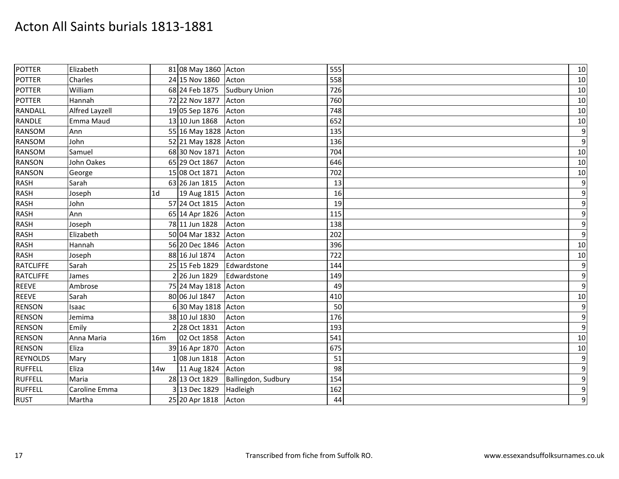| <b>POTTER</b>    | Elizabeth      |                | 81 08 May 1860 Acton |                      | 555 | 10               |
|------------------|----------------|----------------|----------------------|----------------------|-----|------------------|
| <b>POTTER</b>    | Charles        |                | 24 15 Nov 1860 Acton |                      | 558 | 10               |
| <b>POTTER</b>    | William        |                | 68 24 Feb 1875       | <b>Sudbury Union</b> | 726 | 10               |
| <b>POTTER</b>    | Hannah         |                | 72 22 Nov 1877       | Acton                | 760 | 10               |
| <b>RANDALL</b>   | Alfred Layzell |                | 19 05 Sep 1876       | Acton                | 748 | 10               |
| <b>RANDLE</b>    | Emma Maud      |                | 13 10 Jun 1868       | Acton                | 652 | 10               |
| <b>RANSOM</b>    | Ann            |                | 55 16 May 1828 Acton |                      | 135 | $\boldsymbol{9}$ |
| <b>RANSOM</b>    | John           |                | 52 21 May 1828 Acton |                      | 136 | $\overline{9}$   |
| <b>RANSOM</b>    | Samuel         |                | 68 30 Nov 1871       | Acton                | 704 | 10               |
| <b>RANSON</b>    | John Oakes     |                | 65 29 Oct 1867       | Acton                | 646 | 10               |
| <b>RANSON</b>    | George         |                | 15 08 Oct 1871       | Acton                | 702 | 10               |
| <b>RASH</b>      | Sarah          |                | 63 26 Jan 1815       | Acton                | 13  | 9                |
| <b>RASH</b>      | Joseph         | 1 <sub>d</sub> | 19 Aug 1815          | Acton                | 16  | 9                |
| <b>RASH</b>      | John           |                | 57 24 Oct 1815       | Acton                | 19  | $\overline{9}$   |
| <b>RASH</b>      | Ann            |                | 65 14 Apr 1826       | Acton                | 115 | $\boldsymbol{9}$ |
| <b>RASH</b>      | Joseph         |                | 78 11 Jun 1828       | Acton                | 138 | 9                |
| <b>RASH</b>      | Elizabeth      |                | 50 04 Mar 1832       | Acton                | 202 | 9                |
| <b>RASH</b>      | Hannah         |                | 56 20 Dec 1846       | Acton                | 396 | 10               |
| <b>RASH</b>      | Joseph         |                | 88 16 Jul 1874       | Acton                | 722 | 10               |
| <b>RATCLIFFE</b> | Sarah          |                | 25 15 Feb 1829       | Edwardstone          | 144 | 9                |
| <b>RATCLIFFE</b> | James          |                | 2 26 Jun 1829        | Edwardstone          | 149 | 9                |
| <b>REEVE</b>     | Ambrose        |                | 75 24 May 1818 Acton |                      | 49  | $\overline{9}$   |
| <b>REEVE</b>     | Sarah          |                | 80 06 Jul 1847       | Acton                | 410 | 10               |
| <b>RENSON</b>    | Isaac          |                | 6 30 May 1818 Acton  |                      | 50  | $\boldsymbol{9}$ |
| <b>RENSON</b>    | Jemima         |                | 38 10 Jul 1830       | Acton                | 176 | 9                |
| <b>RENSON</b>    | Emily          |                | 2 28 Oct 1831        | Acton                | 193 | $\overline{9}$   |
| <b>RENSON</b>    | Anna Maria     | 16m            | 02 Oct 1858          | Acton                | 541 | 10               |
| <b>RENSON</b>    | Eliza          |                | 39 16 Apr 1870       | Acton                | 675 | 10               |
| <b>REYNOLDS</b>  | Mary           |                | 08 Jun 1818          | Acton                | 51  | 9                |
| <b>RUFFELL</b>   | Eliza          | 14w            | 11 Aug 1824          | Acton                | 98  | 9                |
| <b>RUFFELL</b>   | Maria          |                | 28 13 Oct 1829       | Ballingdon, Sudbury  | 154 | $\boldsymbol{9}$ |
| <b>RUFFELL</b>   | Caroline Emma  |                | 3 13 Dec 1829        | Hadleigh             | 162 | 9                |
| <b>RUST</b>      | Martha         |                | 25 20 Apr 1818       | Acton                | 44  | $\boldsymbol{9}$ |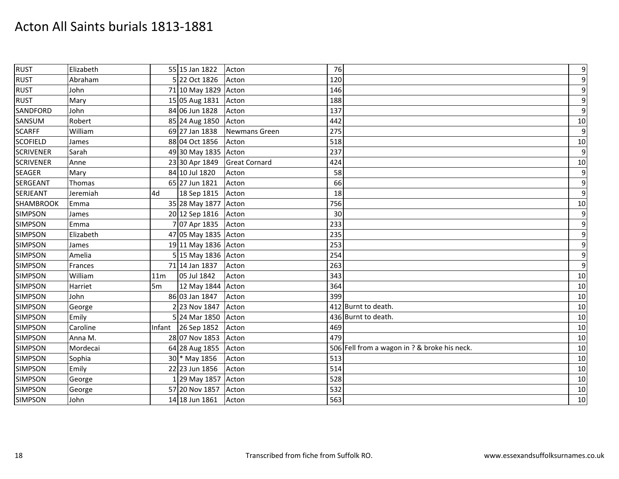| <b>RUST</b>      | Elizabeth |                 | 55 15 Jan 1822       | Acton                | 76                                           | $\boldsymbol{9}$ |
|------------------|-----------|-----------------|----------------------|----------------------|----------------------------------------------|------------------|
| <b>RUST</b>      | Abraham   |                 | 5 22 Oct 1826        | Acton                | 120                                          | $\boldsymbol{9}$ |
| <b>RUST</b>      | John      |                 | 71 10 May 1829 Acton |                      | 146                                          | $\boldsymbol{9}$ |
| <b>RUST</b>      | Mary      |                 | 15 05 Aug 1831       | Acton                | 188                                          | $\boldsymbol{9}$ |
| SANDFORD         | John      |                 | 84 06 Jun 1828       | Acton                | 137                                          | $\boldsymbol{9}$ |
| SANSUM           | Robert    |                 | 85 24 Aug 1850       | Acton                | 442                                          | 10               |
| <b>SCARFF</b>    | William   |                 | 69 27 Jan 1838       | Newmans Green        | 275                                          | $\mathbf{9}$     |
| <b>SCOFIELD</b>  | James     |                 | 88 04 Oct 1856       | Acton                | 518                                          | 10               |
| <b>SCRIVENER</b> | Sarah     |                 | 49 30 May 1835 Acton |                      | 237                                          | $\boldsymbol{9}$ |
| <b>SCRIVENER</b> | Anne      |                 | 23 30 Apr 1849       | <b>Great Cornard</b> | 424                                          | 10               |
| <b>SEAGER</b>    | Mary      |                 | 84 10 Jul 1820       | Acton                | 58                                           | $\boldsymbol{9}$ |
| <b>SERGEANT</b>  | Thomas    |                 | 65 27 Jun 1821       | Acton                | 66                                           | $\boldsymbol{9}$ |
| <b>SERJEANT</b>  | Jeremiah  | 4d              | 18 Sep 1815          | Acton                | 18                                           | $\boldsymbol{9}$ |
| <b>SHAMBROOK</b> | Emma      |                 | 35 28 May 1877 Acton |                      | 756                                          | 10               |
| <b>SIMPSON</b>   | James     |                 | 20 12 Sep 1816       | Acton                | 30                                           | $\overline{9}$   |
| <b>SIMPSON</b>   | Emma      |                 | 707 Apr 1835         | Acton                | 233                                          | $\boldsymbol{9}$ |
| <b>SIMPSON</b>   | Elizabeth |                 | 47 05 May 1835 Acton |                      | 235                                          | $\boldsymbol{9}$ |
| <b>SIMPSON</b>   | James     |                 | 19 11 May 1836 Acton |                      | 253                                          | $\boldsymbol{9}$ |
| <b>SIMPSON</b>   | Amelia    |                 | 5 15 May 1836 Acton  |                      | 254                                          | $\boldsymbol{9}$ |
| <b>SIMPSON</b>   | Frances   |                 | 71 14 Jan 1837       | Acton                | 263                                          | $\boldsymbol{9}$ |
| <b>SIMPSON</b>   | William   | 11 <sub>m</sub> | 05 Jul 1842          | Acton                | 343                                          | 10               |
| <b>SIMPSON</b>   | Harriet   | 5 <sub>m</sub>  | 12 May 1844 Acton    |                      | 364                                          | 10               |
| <b>SIMPSON</b>   | John      |                 | 86 03 Jan 1847       | Acton                | 399                                          | 10               |
| <b>SIMPSON</b>   | George    |                 | 2 23 Nov 1847        | Acton                | 412 Burnt to death.                          | 10               |
| <b>SIMPSON</b>   | Emily     |                 | 5 24 Mar 1850        | Acton                | 436 Burnt to death.                          | 10               |
| <b>SIMPSON</b>   | Caroline  |                 | Infant 26 Sep 1852   | Acton                | 469                                          | 10               |
| <b>SIMPSON</b>   | Anna M.   |                 | 28 07 Nov 1853       | Acton                | 479                                          | 10               |
| <b>SIMPSON</b>   | Mordecai  |                 | 64 28 Aug 1855       | Acton                | 506 Fell from a wagon in ? & broke his neck. | 10               |
| <b>SIMPSON</b>   | Sophia    |                 | 30 * May 1856        | Acton                | 513                                          | 10               |
| <b>SIMPSON</b>   | Emily     |                 | 22 23 Jun 1856       | Acton                | 514                                          | 10               |
| <b>SIMPSON</b>   | George    |                 | 1 29 May 1857        | Acton                | 528                                          | 10               |
| <b>SIMPSON</b>   | George    |                 | 57 20 Nov 1857       | Acton                | 532                                          | 10               |
| <b>SIMPSON</b>   | John      |                 | 14 18 Jun 1861       | Acton                | 563                                          | 10               |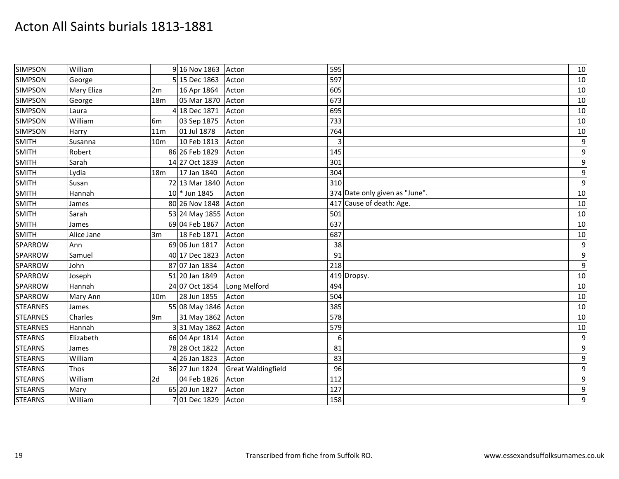| <b>SIMPSON</b>  | William    |                 | 9 16 Nov 1863        | Acton                     | 595                            | 10               |
|-----------------|------------|-----------------|----------------------|---------------------------|--------------------------------|------------------|
| <b>SIMPSON</b>  | George     |                 | 5 15 Dec 1863        | Acton                     | 597                            | 10               |
| <b>SIMPSON</b>  | Mary Eliza | 2m              | 16 Apr 1864          | Acton                     | 605                            | 10               |
| <b>SIMPSON</b>  | George     | 18 <sub>m</sub> | 05 Mar 1870          | Acton                     | 673                            | 10               |
| <b>SIMPSON</b>  | Laura      |                 | 4 18 Dec 1871        | Acton                     | 695                            | 10               |
| <b>SIMPSON</b>  | William    | 6 <sub>m</sub>  | 03 Sep 1875          | Acton                     | 733                            | 10               |
| <b>SIMPSON</b>  | Harry      | 11 <sub>m</sub> | 01 Jul 1878          | Acton                     | 764                            | 10               |
| <b>SMITH</b>    | Susanna    | 10 <sub>m</sub> | 10 Feb 1813          | Acton                     | 3                              | $\boldsymbol{9}$ |
| <b>SMITH</b>    | Robert     |                 | 86 26 Feb 1829       | Acton                     | 145                            | $\boldsymbol{9}$ |
| <b>SMITH</b>    | Sarah      |                 | 14 27 Oct 1839       | Acton                     | 301                            | $\boldsymbol{9}$ |
| <b>SMITH</b>    | Lydia      | 18 <sub>m</sub> | 17 Jan 1840          | Acton                     | 304                            | $\boldsymbol{9}$ |
| <b>SMITH</b>    | Susan      |                 | 72 13 Mar 1840       | Acton                     | 310                            | $\boldsymbol{9}$ |
| <b>SMITH</b>    | Hannah     |                 | 10 * Jun 1845        | Acton                     | 374 Date only given as "June". | 10               |
| <b>SMITH</b>    | James      |                 | 80 26 Nov 1848       | Acton                     | 417 Cause of death: Age.       | 10               |
| SMITH           | Sarah      |                 | 53 24 May 1855       | Acton                     | 501                            | 10               |
| <b>SMITH</b>    | James      |                 | 69 04 Feb 1867       | Acton                     | 637                            | 10               |
| SMITH           | Alice Jane | 3m              | 18 Feb 1871          | Acton                     | 687                            | 10               |
| SPARROW         | Ann        |                 | 69 06 Jun 1817       | Acton                     | 38                             | $\boldsymbol{9}$ |
| <b>SPARROW</b>  | Samuel     |                 | 40 17 Dec 1823       | Acton                     | 91                             | $\boldsymbol{9}$ |
| <b>SPARROW</b>  | John       |                 | 87 07 Jan 1834       | Acton                     | 218                            | $\boldsymbol{9}$ |
| SPARROW         | Joseph     |                 | 51 20 Jan 1849       | Acton                     | 419 Dropsy.                    | 10               |
| SPARROW         | Hannah     |                 | 24 07 Oct 1854       | Long Melford              | 494                            | 10               |
| <b>SPARROW</b>  | Mary Ann   | 10 <sub>m</sub> | 28 Jun 1855          | Acton                     | 504                            | 10               |
| <b>STEARNES</b> | James      |                 | 55 08 May 1846 Acton |                           | 385                            | 10               |
| <b>STEARNES</b> | Charles    | 9 <sub>m</sub>  | 31 May 1862 Acton    |                           | 578                            | 10               |
| <b>STEARNES</b> | Hannah     |                 | 3 31 May 1862 Acton  |                           | 579                            | 10               |
| <b>STEARNS</b>  | Elizabeth  |                 | 66 04 Apr 1814       | Acton                     | 6                              | $\boldsymbol{9}$ |
| <b>STEARNS</b>  | James      |                 | 78 28 Oct 1822       | Acton                     | 81                             | $\boldsymbol{9}$ |
| <b>STEARNS</b>  | William    |                 | 4 26 Jan 1823        | Acton                     | 83                             | $\boldsymbol{9}$ |
| <b>STEARNS</b>  | Thos       |                 | 36 27 Jun 1824       | <b>Great Waldingfield</b> | 96                             | $\boldsymbol{9}$ |
| <b>STEARNS</b>  | William    | 2d              | 04 Feb 1826          | Acton                     | 112                            | $\boldsymbol{9}$ |
| <b>STEARNS</b>  | Mary       |                 | 65 20 Jun 1827       | Acton                     | 127                            | $\boldsymbol{9}$ |
| <b>STEARNS</b>  | William    |                 | 7 01 Dec 1829        | Acton                     | 158                            | $\overline{9}$   |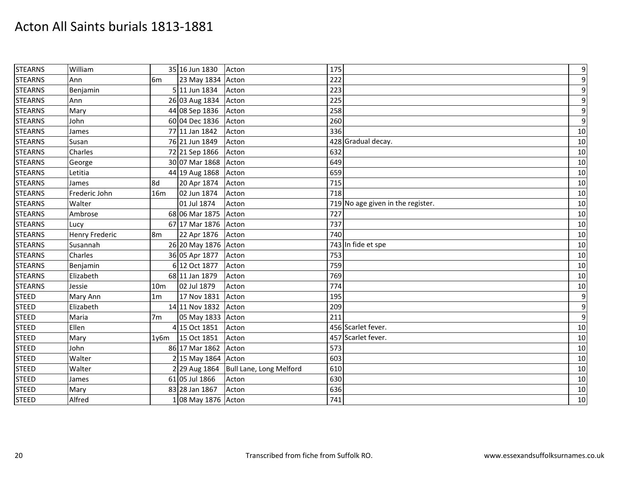| <b>STEARNS</b> | William               |                 | 35 16 Jun 1830             | Acton                   | 175                               | $\boldsymbol{9}$ |
|----------------|-----------------------|-----------------|----------------------------|-------------------------|-----------------------------------|------------------|
| <b>STEARNS</b> | Ann                   | 6 <sub>m</sub>  | 23 May 1834 Acton          |                         | 222                               | $\boldsymbol{9}$ |
| <b>STEARNS</b> | Benjamin              |                 | 5 11 Jun 1834              | Acton                   | 223                               | $\boldsymbol{9}$ |
| <b>STEARNS</b> | Ann                   |                 | 26 03 Aug 1834             | Acton                   | 225                               | $\boldsymbol{9}$ |
| <b>STEARNS</b> | Mary                  |                 | 44 08 Sep 1836             | Acton                   | 258                               | $\boldsymbol{9}$ |
| <b>STEARNS</b> | John                  |                 | 60 04 Dec 1836             | Acton                   | 260                               | $\boldsymbol{9}$ |
| <b>STEARNS</b> | James                 |                 | 77 11 Jan 1842             | Acton                   | 336                               | 10               |
| <b>STEARNS</b> | Susan                 |                 | 76 21 Jun 1849             | Acton                   | 428 Gradual decay.                | 10               |
| <b>STEARNS</b> | Charles               |                 | 72 21 Sep 1866             | Acton                   | 632                               | 10               |
| <b>STEARNS</b> | George                |                 | 30 07 Mar 1868             | Acton                   | 649                               | 10               |
| <b>STEARNS</b> | Letitia               |                 | 44 19 Aug 1868             | Acton                   | 659                               | 10               |
| <b>STEARNS</b> | James                 | 8d              | 20 Apr 1874                | Acton                   | 715                               | 10               |
| <b>STEARNS</b> | Frederic John         | 16m             | 02 Jun 1874                | Acton                   | 718                               | 10               |
| <b>STEARNS</b> | Walter                |                 | 01 Jul 1874                | Acton                   | 719 No age given in the register. | 10               |
| <b>STEARNS</b> | Ambrose               |                 | 68 06 Mar 1875             | Acton                   | 727                               | 10               |
| <b>STEARNS</b> | Lucy                  |                 | 67 17 Mar 1876             | Acton                   | 737                               | 10               |
| <b>STEARNS</b> | <b>Henry Frederic</b> | 8 <sub>m</sub>  | 22 Apr 1876                | Acton                   | 740                               | 10               |
| <b>STEARNS</b> | Susannah              |                 | 26 20 May 1876             | Acton                   | 743 In fide et spe                | 10               |
| <b>STEARNS</b> | Charles               |                 | 36 05 Apr 1877             | Acton                   | 753                               | 10               |
| <b>STEARNS</b> | Benjamin              |                 | 6 12 Oct 1877              | Acton                   | 759                               | 10               |
| <b>STEARNS</b> | Elizabeth             |                 | 68 11 Jan 1879             | Acton                   | 769                               | 10               |
| <b>STEARNS</b> | Jessie                | 10 <sub>m</sub> | 02 Jul 1879                | Acton                   | 774                               | 10               |
| <b>STEED</b>   | Mary Ann              | 1 <sub>m</sub>  | 17 Nov 1831                | Acton                   | 195                               | $\boldsymbol{9}$ |
| <b>STEED</b>   | Elizabeth             |                 | 14 11 Nov 1832             | Acton                   | 209                               | $\boldsymbol{9}$ |
| <b>STEED</b>   | Maria                 | 7m              | 05 May 1833 Acton          |                         | 211                               | $\boldsymbol{9}$ |
| <b>STEED</b>   | Ellen                 |                 | 4 15 Oct 1851              | Acton                   | 456 Scarlet fever.                | 10               |
| <b>STEED</b>   | Mary                  | 1y6m            | 15 Oct 1851                | Acton                   | 457 Scarlet fever.                | 10               |
| <b>STEED</b>   | John                  |                 | 86 17 Mar 1862             | Acton                   | 573                               | 10               |
| <b>STEED</b>   | Walter                |                 | 2 15 May 1864              | Acton                   | 603                               | 10               |
| <b>STEED</b>   | Walter                |                 | 2 29 Aug 1864              | Bull Lane, Long Melford | 610                               | 10               |
| <b>STEED</b>   | James                 |                 | $\frac{1}{61}$ 05 Jul 1866 | Acton                   | 630                               | 10               |
| <b>STEED</b>   | Mary                  |                 | 83 28 Jan 1867             | Acton                   | 636                               | 10               |
| <b>STEED</b>   | Alfred                |                 | 1 08 May 1876 Acton        |                         | 741                               | 10               |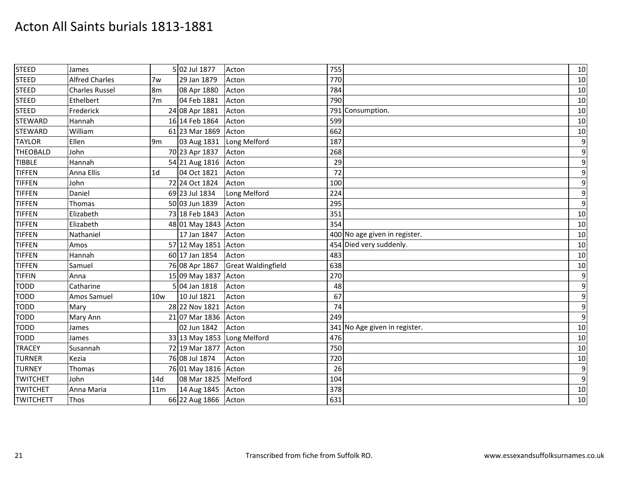| <b>STEED</b>     | James                 |                 | 5 02 Jul 1877               | Acton                     | 755                           | 10               |
|------------------|-----------------------|-----------------|-----------------------------|---------------------------|-------------------------------|------------------|
| <b>STEED</b>     | <b>Alfred Charles</b> | 7w              | 29 Jan 1879                 | Acton                     | 770                           | 10               |
| <b>STEED</b>     | <b>Charles Russel</b> | 8m              | 08 Apr 1880                 | Acton                     | 784                           | 10               |
| <b>STEED</b>     | Ethelbert             | 7 <sub>m</sub>  | 04 Feb 1881                 | Acton                     | 790                           | 10               |
| <b>STEED</b>     | Frederick             |                 | 24 08 Apr 1881              | Acton                     | 791 Consumption.              | 10               |
| <b>STEWARD</b>   | Hannah                |                 | 16 14 Feb 1864              | Acton                     | 599                           | 10               |
| <b>STEWARD</b>   | William               |                 | 61 23 Mar 1869              | Acton                     | 662                           | 10               |
| <b>TAYLOR</b>    | Ellen                 | 9 <sub>m</sub>  | 03 Aug 1831                 | Long Melford              | 187                           | $\boldsymbol{9}$ |
| <b>THEOBALD</b>  | John                  |                 | 70 23 Apr 1837              | Acton                     | 268                           | 9                |
| <b>TIBBLE</b>    | Hannah                |                 | 54 21 Aug 1816              | Acton                     | 29                            | $\boldsymbol{9}$ |
| <b>TIFFEN</b>    | Anna Ellis            | 1 <sub>d</sub>  | 04 Oct 1821                 | Acton                     | 72                            | $\boldsymbol{9}$ |
| <b>TIFFEN</b>    | John                  |                 | 72 24 Oct 1824              | Acton                     | 100                           | $\boldsymbol{9}$ |
| <b>TIFFEN</b>    | Daniel                |                 | 69 23 Jul 1834              | Long Melford              | 224                           | $\boldsymbol{9}$ |
| <b>TIFFEN</b>    | Thomas                |                 | 50 03 Jun 1839              | Acton                     | 295                           | $\boldsymbol{9}$ |
| <b>TIFFEN</b>    | Elizabeth             |                 | 73 18 Feb 1843              | Acton                     | 351                           | 10               |
| <b>TIFFEN</b>    | Elizabeth             |                 | 48 01 May 1843              | Acton                     | 354                           | 10               |
| <b>TIFFEN</b>    | Nathaniel             |                 | 17 Jan 1847                 | Acton                     | 400 No age given in register. | 10               |
| <b>TIFFEN</b>    | Amos                  |                 | 57 12 May 1851              | Acton                     | 454 Died very suddenly.       | $10\,$           |
| <b>TIFFEN</b>    | Hannah                |                 | 60 17 Jan 1854              | Acton                     | 483                           | 10               |
| <b>TIFFEN</b>    | Samuel                |                 | 76 08 Apr 1867              | <b>Great Waldingfield</b> | 638                           | 10               |
| <b>TIFFIN</b>    | Anna                  |                 | 15 09 May 1837              | Acton                     | 270                           | 9                |
| <b>TODD</b>      | Catharine             |                 | 5 04 Jan 1818               | Acton                     | 48                            | $\boldsymbol{9}$ |
| <b>TODD</b>      | Amos Samuel           | 10w             | 10 Jul 1821                 | Acton                     | 67                            | $\boldsymbol{9}$ |
| <b>TODD</b>      | Mary                  |                 | 28 22 Nov 1821              | Acton                     | 74                            | $\boldsymbol{9}$ |
| <b>TODD</b>      | Mary Ann              |                 | 21 07 Mar 1836              | Acton                     | 249                           | $\boldsymbol{9}$ |
| <b>TODD</b>      | James                 |                 | 02 Jun 1842                 | Acton                     | 341 No Age given in register. | 10               |
| <b>TODD</b>      | James                 |                 | 33 13 May 1853 Long Melford |                           | 476                           | 10               |
| <b>TRACEY</b>    | Susannah              |                 | 72 19 Mar 1877              | Acton                     | 750                           | 10               |
| <b>TURNER</b>    | Kezia                 |                 | 76 08 Jul 1874              | Acton                     | 720                           | 10               |
| <b>TURNEY</b>    | Thomas                |                 | 76 01 May 1816 Acton        |                           | 26                            | $\boldsymbol{9}$ |
| <b>TWITCHET</b>  | John                  | 14d             | 08 Mar 1825                 | Melford                   | 104                           | $\boldsymbol{9}$ |
| <b>TWITCHET</b>  | Anna Maria            | 11 <sub>m</sub> | 14 Aug 1845                 | Acton                     | 378                           | 10               |
| <b>TWITCHETT</b> | Thos                  |                 | 66 22 Aug 1866 Acton        |                           | 631                           | 10               |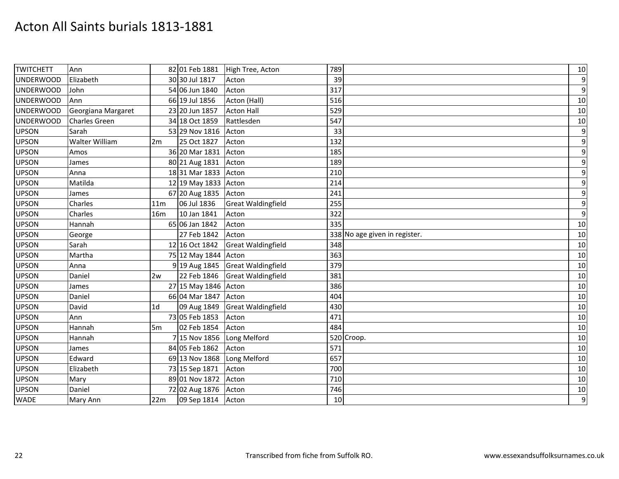| <b>TWITCHETT</b> | Ann                  |                 | 82 01 Feb 1881       | High Tree, Acton          | 789 |                               | 10               |
|------------------|----------------------|-----------------|----------------------|---------------------------|-----|-------------------------------|------------------|
| <b>UNDERWOOD</b> | Elizabeth            |                 | 30 30 Jul 1817       | Acton                     | 39  |                               | $\overline{9}$   |
| <b>UNDERWOOD</b> | John                 |                 | 54 06 Jun 1840       | Acton                     | 317 |                               | $\boldsymbol{9}$ |
| <b>UNDERWOOD</b> | Ann                  |                 | 66 19 Jul 1856       | Acton (Hall)              | 516 |                               | 10               |
| <b>UNDERWOOD</b> | Georgiana Margaret   |                 | 23 20 Jun 1857       | <b>Acton Hall</b>         | 529 |                               | 10               |
| <b>UNDERWOOD</b> | <b>Charles Green</b> |                 | 34 18 Oct 1859       | Rattlesden                | 547 |                               | $10\,$           |
| <b>UPSON</b>     | Sarah                |                 | 53 29 Nov 1816       | Acton                     | 33  |                               | $\boldsymbol{9}$ |
| <b>UPSON</b>     | Walter William       | 2m              | 25 Oct 1827          | Acton                     | 132 |                               | $\boldsymbol{9}$ |
| <b>UPSON</b>     | Amos                 |                 | 36 20 Mar 1831       | Acton                     | 185 |                               | $\boldsymbol{9}$ |
| <b>UPSON</b>     | James                |                 | 80 21 Aug 1831       | Acton                     | 189 |                               | $\boldsymbol{9}$ |
| <b>UPSON</b>     | Anna                 |                 | 18 31 Mar 1833       | Acton                     | 210 |                               | $\boldsymbol{9}$ |
| <b>UPSON</b>     | Matilda              |                 | 12 19 May 1833 Acton |                           | 214 |                               | 9                |
| <b>UPSON</b>     | James                |                 | 67 20 Aug 1835       | Acton                     | 241 |                               | $\boldsymbol{9}$ |
| <b>UPSON</b>     | Charles              | 11 <sub>m</sub> | 06 Jul 1836          | <b>Great Waldingfield</b> | 255 |                               | 9                |
| <b>UPSON</b>     | Charles              | <b>16m</b>      | 10 Jan 1841          | Acton                     | 322 |                               | $\boldsymbol{9}$ |
| <b>UPSON</b>     | Hannah               |                 | 65 06 Jan 1842       | Acton                     | 335 |                               | 10               |
| <b>UPSON</b>     | George               |                 | 27 Feb 1842          | Acton                     |     | 338 No age given in register. | 10               |
| <b>UPSON</b>     | Sarah                |                 | 12 16 Oct 1842       | <b>Great Waldingfield</b> | 348 |                               | 10               |
| <b>UPSON</b>     | Martha               |                 | 75 12 May 1844 Acton |                           | 363 |                               | 10               |
| <b>UPSON</b>     | Anna                 |                 | 9 19 Aug 1845        | <b>Great Waldingfield</b> | 379 |                               | 10               |
| <b>UPSON</b>     | Daniel               | 2w              | 22 Feb 1846          | <b>Great Waldingfield</b> | 381 |                               | 10               |
| <b>UPSON</b>     | James                |                 | 27 15 May 1846 Acton |                           | 386 |                               | 10               |
| <b>UPSON</b>     | Daniel               |                 | 66 04 Mar 1847       | Acton                     | 404 |                               | 10               |
| <b>UPSON</b>     | David                | 1 <sub>d</sub>  | 09 Aug 1849          | <b>Great Waldingfield</b> | 430 |                               | 10               |
| <b>UPSON</b>     | Ann                  |                 | 73 05 Feb 1853       | Acton                     | 471 |                               | 10               |
| <b>UPSON</b>     | Hannah               | 5m              | 02 Feb 1854          | Acton                     | 484 |                               | 10               |
| <b>UPSON</b>     | Hannah               |                 | 7 15 Nov 1856        | Long Melford              |     | 520 Croop.                    | 10               |
| <b>UPSON</b>     | James                |                 | 84 05 Feb 1862       | Acton                     | 571 |                               | 10               |
| <b>UPSON</b>     | Edward               |                 | 69 13 Nov 1868       | Long Melford              | 657 |                               | 10               |
| <b>UPSON</b>     | Elizabeth            |                 | 73 15 Sep 1871       | Acton                     | 700 |                               | 10               |
| <b>UPSON</b>     | Mary                 |                 | 89 01 Nov 1872       | Acton                     | 710 |                               | 10               |
| <b>UPSON</b>     | Daniel               |                 | 72 02 Aug 1876       | Acton                     | 746 |                               | 10               |
| <b>WADE</b>      | Mary Ann             | 22m             | 09 Sep 1814 Acton    |                           | 10  |                               | $\boldsymbol{9}$ |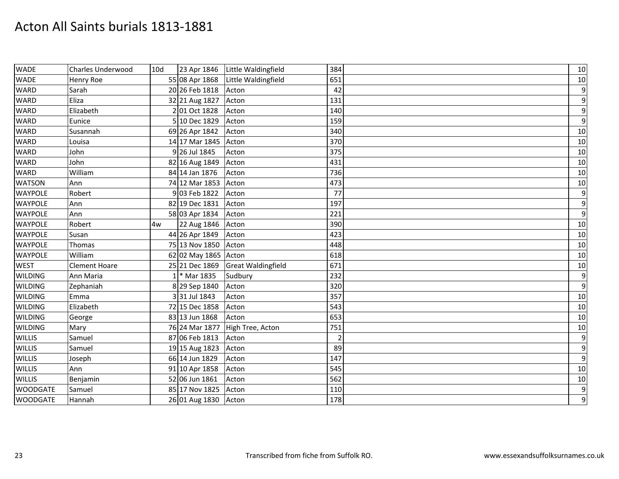| <b>WADE</b>     | Charles Underwood    | 10d | 23 Apr 1846          | Little Waldingfield       | 384            | 10               |
|-----------------|----------------------|-----|----------------------|---------------------------|----------------|------------------|
| <b>WADE</b>     | Henry Roe            |     | 55 08 Apr 1868       | Little Waldingfield       | 651            | 10               |
| <b>WARD</b>     | Sarah                |     | 20 26 Feb 1818       | Acton                     | 42             | $\boldsymbol{9}$ |
| <b>WARD</b>     | Eliza                |     | 32 21 Aug 1827       | Acton                     | 131            | $\boldsymbol{9}$ |
| <b>WARD</b>     | Elizabeth            |     | 2 01 Oct 1828        | Acton                     | 140            | $\boldsymbol{9}$ |
| <b>WARD</b>     | Eunice               |     | 5 10 Dec 1829        | Acton                     | 159            | $\boldsymbol{9}$ |
| <b>WARD</b>     | Susannah             |     | 69 26 Apr 1842       | Acton                     | 340            | 10               |
| <b>WARD</b>     | Louisa               |     | 14 17 Mar 1845       | Acton                     | 370            | 10               |
| <b>WARD</b>     | John                 |     | 9 26 Jul 1845        | Acton                     | 375            | 10               |
| <b>WARD</b>     | John                 |     | 82 16 Aug 1849       | Acton                     | 431            | 10               |
| <b>WARD</b>     | William              |     | 84 14 Jan 1876       | Acton                     | 736            | 10               |
| <b>WATSON</b>   | Ann                  |     | 74 12 Mar 1853       | Acton                     | 473            | 10               |
| <b>WAYPOLE</b>  | Robert               |     | 9 03 Feb 1822        | Acton                     | 77             | $\boldsymbol{9}$ |
| <b>WAYPOLE</b>  | Ann                  |     | 82 19 Dec 1831       | Acton                     | 197            | $\boldsymbol{9}$ |
| <b>WAYPOLE</b>  | Ann                  |     | 58 03 Apr 1834       | Acton                     | 221            | $\boldsymbol{9}$ |
| <b>WAYPOLE</b>  | Robert               | 4w  | 22 Aug 1846          | Acton                     | 390            | 10               |
| <b>WAYPOLE</b>  | Susan                |     | 44 26 Apr 1849       | Acton                     | 423            | 10               |
| <b>WAYPOLE</b>  | Thomas               |     | 75 13 Nov 1850       | Acton                     | 448            | 10               |
| <b>WAYPOLE</b>  | William              |     | 62 02 May 1865 Acton |                           | 618            | 10               |
| <b>WEST</b>     | <b>Clement Hoare</b> |     | 25 21 Dec 1869       | <b>Great Waldingfield</b> | 671            | 10               |
| <b>WILDING</b>  | Ann Maria            |     | * Mar 1835           | Sudbury                   | 232            | $\boldsymbol{9}$ |
| <b>WILDING</b>  | Zephaniah            |     | 8 29 Sep 1840        | Acton                     | 320            | $\boldsymbol{9}$ |
| <b>WILDING</b>  | Emma                 |     | 3 31 Jul 1843        | Acton                     | 357            | 10               |
| <b>WILDING</b>  | Elizabeth            |     | 72 15 Dec 1858       | Acton                     | 543            | 10               |
| <b>WILDING</b>  | George               |     | 83 13 Jun 1868       | Acton                     | 653            | 10               |
| <b>WILDING</b>  | Mary                 |     | 76 24 Mar 1877       | High Tree, Acton          | 751            | $10\,$           |
| <b>WILLIS</b>   | Samuel               |     | 87 06 Feb 1813       | Acton                     | $\overline{2}$ | $\boldsymbol{9}$ |
| <b>WILLIS</b>   | Samuel               |     | 19 15 Aug 1823       | Acton                     | 89             | $\boldsymbol{9}$ |
| <b>WILLIS</b>   | Joseph               |     | 66 14 Jun 1829       | Acton                     | 147            | $\boldsymbol{9}$ |
| <b>WILLIS</b>   | Ann                  |     | 91 10 Apr 1858       | Acton                     | 545            | 10               |
| <b>WILLIS</b>   | Benjamin             |     | 52 06 Jun 1861       | Acton                     | 562            | 10               |
| <b>WOODGATE</b> | Samuel               |     | 85 17 Nov 1825       | Acton                     | 110            | $\boldsymbol{9}$ |
| <b>WOODGATE</b> | Hannah               |     | 26 01 Aug 1830       | Acton                     | 178            | $\boldsymbol{9}$ |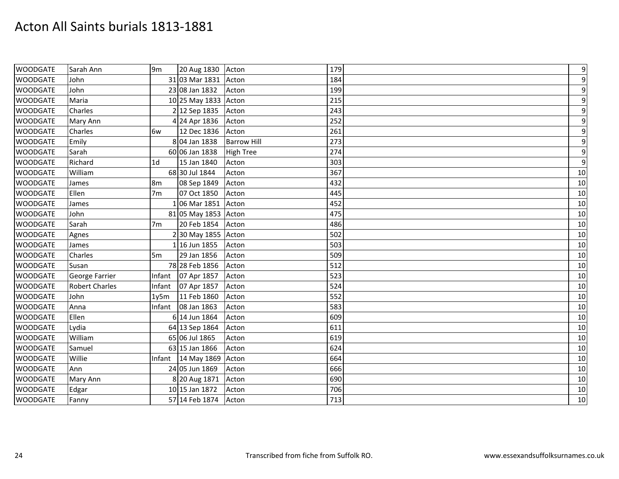| <b>WOODGATE</b> | Sarah Ann             | 9 <sub>m</sub> | 20 Aug 1830 Acton    |                    | 179 | $\boldsymbol{9}$ |
|-----------------|-----------------------|----------------|----------------------|--------------------|-----|------------------|
| <b>WOODGATE</b> | John                  |                | 31 03 Mar 1831 Acton |                    | 184 | $\overline{9}$   |
| <b>WOODGATE</b> | John                  |                | 23 08 Jan 1832       | Acton              | 199 | 9                |
| <b>WOODGATE</b> | Maria                 |                | 10 25 May 1833 Acton |                    | 215 | 9                |
| <b>WOODGATE</b> | Charles               |                | 2 12 Sep 1835        | Acton              | 243 | 9                |
| <b>WOODGATE</b> | Mary Ann              |                | 4 24 Apr 1836        | Acton              | 252 | $\overline{9}$   |
| <b>WOODGATE</b> | Charles               | 6w             | 12 Dec 1836          | Acton              | 261 | 9                |
| <b>WOODGATE</b> | Emily                 |                | 8 04 Jan 1838        | <b>Barrow Hill</b> | 273 | 9                |
| <b>WOODGATE</b> | Sarah                 |                | 60 06 Jan 1838       | <b>High Tree</b>   | 274 | 9                |
| <b>WOODGATE</b> | Richard               | 1 <sub>d</sub> | 15 Jan 1840          | Acton              | 303 | $\overline{9}$   |
| <b>WOODGATE</b> | William               |                | 68 30 Jul 1844       | Acton              | 367 | 10               |
| <b>WOODGATE</b> | James                 | 8 <sub>m</sub> | 08 Sep 1849          | Acton              | 432 | 10               |
| <b>WOODGATE</b> | Ellen                 | 7 <sub>m</sub> | 07 Oct 1850          | Acton              | 445 | 10               |
| <b>WOODGATE</b> | James                 |                | 1 06 Mar 1851        | Acton              | 452 | 10               |
| <b>WOODGATE</b> | John                  |                | 81 05 May 1853 Acton |                    | 475 | 10               |
| <b>WOODGATE</b> | Sarah                 | 7 <sub>m</sub> | 20 Feb 1854          | Acton              | 486 | 10               |
| <b>WOODGATE</b> | Agnes                 |                | 2 30 May 1855 Acton  |                    | 502 | 10               |
| <b>WOODGATE</b> | James                 |                | 1 16 Jun 1855        | Acton              | 503 | 10               |
| <b>WOODGATE</b> | Charles               | 5 <sub>m</sub> | 29 Jan 1856          | Acton              | 509 | 10               |
| <b>WOODGATE</b> | Susan                 |                | 78 28 Feb 1856       | Acton              | 512 | 10               |
| <b>WOODGATE</b> | George Farrier        | Infant         | 07 Apr 1857          | Acton              | 523 | 10               |
| <b>WOODGATE</b> | <b>Robert Charles</b> | Infant         | 07 Apr 1857          | Acton              | 524 | 10               |
| <b>WOODGATE</b> | John                  | 1y5m           | 11 Feb 1860          | Acton              | 552 | 10               |
| <b>WOODGATE</b> | Anna                  | Infant         | 08 Jan 1863          | Acton              | 583 | 10               |
| <b>WOODGATE</b> | Ellen                 |                | 6 14 Jun 1864        | Acton              | 609 | 10               |
| <b>WOODGATE</b> | Lydia                 |                | 64 13 Sep 1864       | Acton              | 611 | 10               |
| <b>WOODGATE</b> | William               |                | 65 06 Jul 1865       | Acton              | 619 | 10               |
| <b>WOODGATE</b> | Samuel                |                | 63 15 Jan 1866       | Acton              | 624 | 10               |
| <b>WOODGATE</b> | Willie                |                | Infant 14 May 1869   | Acton              | 664 | 10               |
| <b>WOODGATE</b> | Ann                   |                | 24 05 Jun 1869       | Acton              | 666 | 10               |
| <b>WOODGATE</b> | Mary Ann              |                | 8 20 Aug 1871        | Acton              | 690 | $10\,$           |
| <b>WOODGATE</b> | Edgar                 |                | 10 15 Jan 1872       | Acton              | 706 | 10               |
| <b>WOODGATE</b> | Fanny                 |                | 57 14 Feb 1874       | Acton              | 713 | 10               |